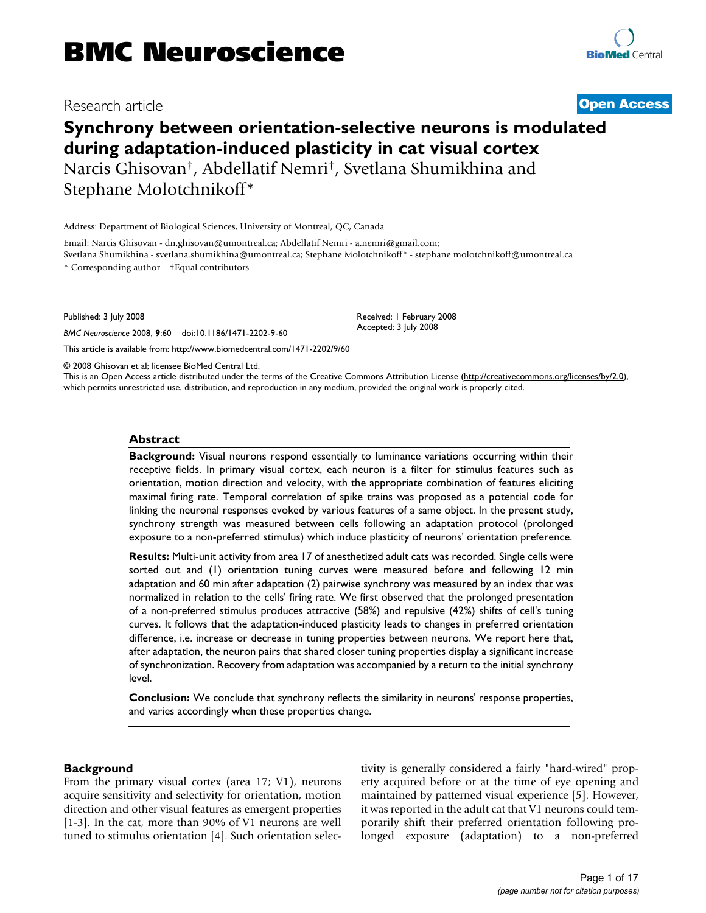# Research article **[Open Access](http://www.biomedcentral.com/info/about/charter/)**

# **Synchrony between orientation-selective neurons is modulated during adaptation-induced plasticity in cat visual cortex** Narcis Ghisovan†, Abdellatif Nemri†, Svetlana Shumikhina and Stephane Molotchnikoff\*

Address: Department of Biological Sciences, University of Montreal, QC, Canada

Email: Narcis Ghisovan - dn.ghisovan@umontreal.ca; Abdellatif Nemri - a.nemri@gmail.com; Svetlana Shumikhina - svetlana.shumikhina@umontreal.ca; Stephane Molotchnikoff\* - stephane.molotchnikoff@umontreal.ca

\* Corresponding author †Equal contributors

Published: 3 July 2008

*BMC Neuroscience* 2008, **9**:60 doi:10.1186/1471-2202-9-60

[This article is available from: http://www.biomedcentral.com/1471-2202/9/60](http://www.biomedcentral.com/1471-2202/9/60)

© 2008 Ghisovan et al; licensee BioMed Central Ltd.

This is an Open Access article distributed under the terms of the Creative Commons Attribution License [\(http://creativecommons.org/licenses/by/2.0\)](http://creativecommons.org/licenses/by/2.0), which permits unrestricted use, distribution, and reproduction in any medium, provided the original work is properly cited.

Received: 1 February 2008 Accepted: 3 July 2008

#### **Abstract**

**Background:** Visual neurons respond essentially to luminance variations occurring within their receptive fields. In primary visual cortex, each neuron is a filter for stimulus features such as orientation, motion direction and velocity, with the appropriate combination of features eliciting maximal firing rate. Temporal correlation of spike trains was proposed as a potential code for linking the neuronal responses evoked by various features of a same object. In the present study, synchrony strength was measured between cells following an adaptation protocol (prolonged exposure to a non-preferred stimulus) which induce plasticity of neurons' orientation preference.

**Results:** Multi-unit activity from area 17 of anesthetized adult cats was recorded. Single cells were sorted out and (1) orientation tuning curves were measured before and following 12 min adaptation and 60 min after adaptation (2) pairwise synchrony was measured by an index that was normalized in relation to the cells' firing rate. We first observed that the prolonged presentation of a non-preferred stimulus produces attractive (58%) and repulsive (42%) shifts of cell's tuning curves. It follows that the adaptation-induced plasticity leads to changes in preferred orientation difference, i.e. increase or decrease in tuning properties between neurons. We report here that, after adaptation, the neuron pairs that shared closer tuning properties display a significant increase of synchronization. Recovery from adaptation was accompanied by a return to the initial synchrony level.

**Conclusion:** We conclude that synchrony reflects the similarity in neurons' response properties, and varies accordingly when these properties change.

# **Background**

From the primary visual cortex (area 17; V1), neurons acquire sensitivity and selectivity for orientation, motion direction and other visual features as emergent properties [1-3]. In the cat, more than 90% of V1 neurons are well tuned to stimulus orientation [4]. Such orientation selectivity is generally considered a fairly "hard-wired" property acquired before or at the time of eye opening and maintained by patterned visual experience [5]. However, it was reported in the adult cat that V1 neurons could temporarily shift their preferred orientation following prolonged exposure (adaptation) to a non-preferred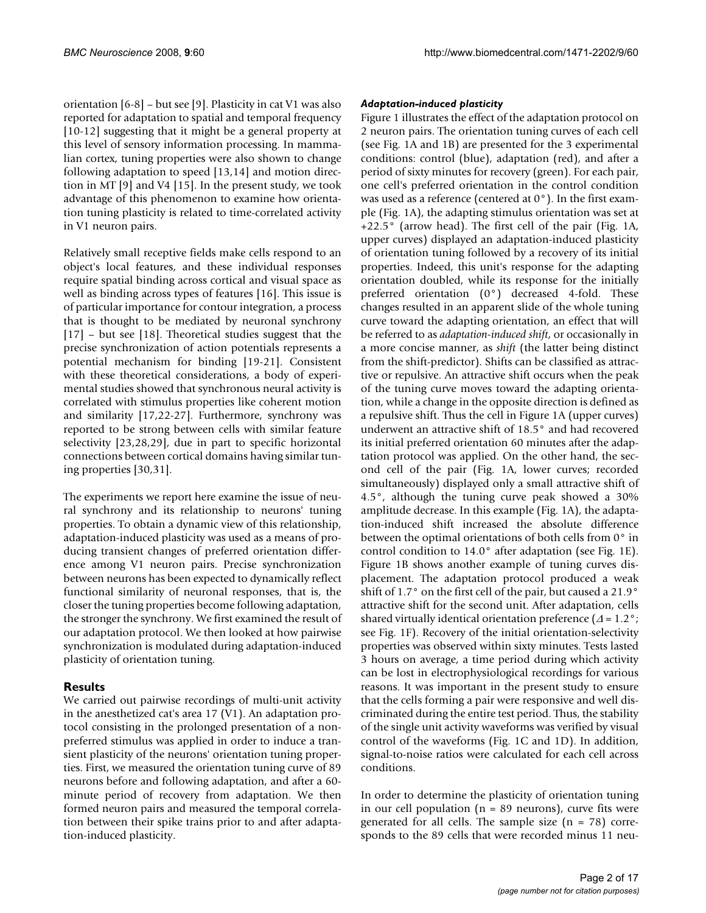orientation [6-8] – but see [9]. Plasticity in cat V1 was also reported for adaptation to spatial and temporal frequency [10-12] suggesting that it might be a general property at this level of sensory information processing. In mammalian cortex, tuning properties were also shown to change following adaptation to speed [13,14] and motion direction in MT [9] and V4 [15]. In the present study, we took advantage of this phenomenon to examine how orientation tuning plasticity is related to time-correlated activity in V1 neuron pairs.

Relatively small receptive fields make cells respond to an object's local features, and these individual responses require spatial binding across cortical and visual space as well as binding across types of features [16]. This issue is of particular importance for contour integration, a process that is thought to be mediated by neuronal synchrony [17] – but see [18]. Theoretical studies suggest that the precise synchronization of action potentials represents a potential mechanism for binding [19-21]. Consistent with these theoretical considerations, a body of experimental studies showed that synchronous neural activity is correlated with stimulus properties like coherent motion and similarity [17,22-27]. Furthermore, synchrony was reported to be strong between cells with similar feature selectivity [23,28,29], due in part to specific horizontal connections between cortical domains having similar tuning properties [30,31].

The experiments we report here examine the issue of neural synchrony and its relationship to neurons' tuning properties. To obtain a dynamic view of this relationship, adaptation-induced plasticity was used as a means of producing transient changes of preferred orientation difference among V1 neuron pairs. Precise synchronization between neurons has been expected to dynamically reflect functional similarity of neuronal responses, that is, the closer the tuning properties become following adaptation, the stronger the synchrony. We first examined the result of our adaptation protocol. We then looked at how pairwise synchronization is modulated during adaptation-induced plasticity of orientation tuning.

# **Results**

We carried out pairwise recordings of multi-unit activity in the anesthetized cat's area 17 (V1). An adaptation protocol consisting in the prolonged presentation of a nonpreferred stimulus was applied in order to induce a transient plasticity of the neurons' orientation tuning properties. First, we measured the orientation tuning curve of 89 neurons before and following adaptation, and after a 60 minute period of recovery from adaptation. We then formed neuron pairs and measured the temporal correlation between their spike trains prior to and after adaptation-induced plasticity.

# *Adaptation-induced plasticity*

Figure 1 illustrates the effect of the adaptation protocol on 2 neuron pairs. The orientation tuning curves of each cell (see Fig. 1A and 1B) are presented for the 3 experimental conditions: control (blue), adaptation (red), and after a period of sixty minutes for recovery (green). For each pair, one cell's preferred orientation in the control condition was used as a reference (centered at 0°). In the first example (Fig. 1A), the adapting stimulus orientation was set at +22.5° (arrow head). The first cell of the pair (Fig. 1A, upper curves) displayed an adaptation-induced plasticity of orientation tuning followed by a recovery of its initial properties. Indeed, this unit's response for the adapting orientation doubled, while its response for the initially preferred orientation (0°) decreased 4-fold. These changes resulted in an apparent slide of the whole tuning curve toward the adapting orientation, an effect that will be referred to as *adaptation-induced shift*, or occasionally in a more concise manner, as *shift* (the latter being distinct from the shift-predictor). Shifts can be classified as attractive or repulsive. An attractive shift occurs when the peak of the tuning curve moves toward the adapting orientation, while a change in the opposite direction is defined as a repulsive shift. Thus the cell in Figure 1A (upper curves) underwent an attractive shift of 18.5° and had recovered its initial preferred orientation 60 minutes after the adaptation protocol was applied. On the other hand, the second cell of the pair (Fig. 1A, lower curves; recorded simultaneously) displayed only a small attractive shift of 4.5°, although the tuning curve peak showed a 30% amplitude decrease. In this example (Fig. 1A), the adaptation-induced shift increased the absolute difference between the optimal orientations of both cells from 0° in control condition to 14.0° after adaptation (see Fig. 1E). Figure 1B shows another example of tuning curves displacement. The adaptation protocol produced a weak shift of 1.7° on the first cell of the pair, but caused a 21.9° attractive shift for the second unit. After adaptation, cells shared virtually identical orientation preference  $(\Delta = 1.2^{\circ})$ ; see Fig. 1F). Recovery of the initial orientation-selectivity properties was observed within sixty minutes. Tests lasted 3 hours on average, a time period during which activity can be lost in electrophysiological recordings for various reasons. It was important in the present study to ensure that the cells forming a pair were responsive and well discriminated during the entire test period. Thus, the stability of the single unit activity waveforms was verified by visual control of the waveforms (Fig. 1C and 1D). In addition, signal-to-noise ratios were calculated for each cell across conditions.

In order to determine the plasticity of orientation tuning in our cell population ( $n = 89$  neurons), curve fits were generated for all cells. The sample size  $(n = 78)$  corresponds to the 89 cells that were recorded minus 11 neu-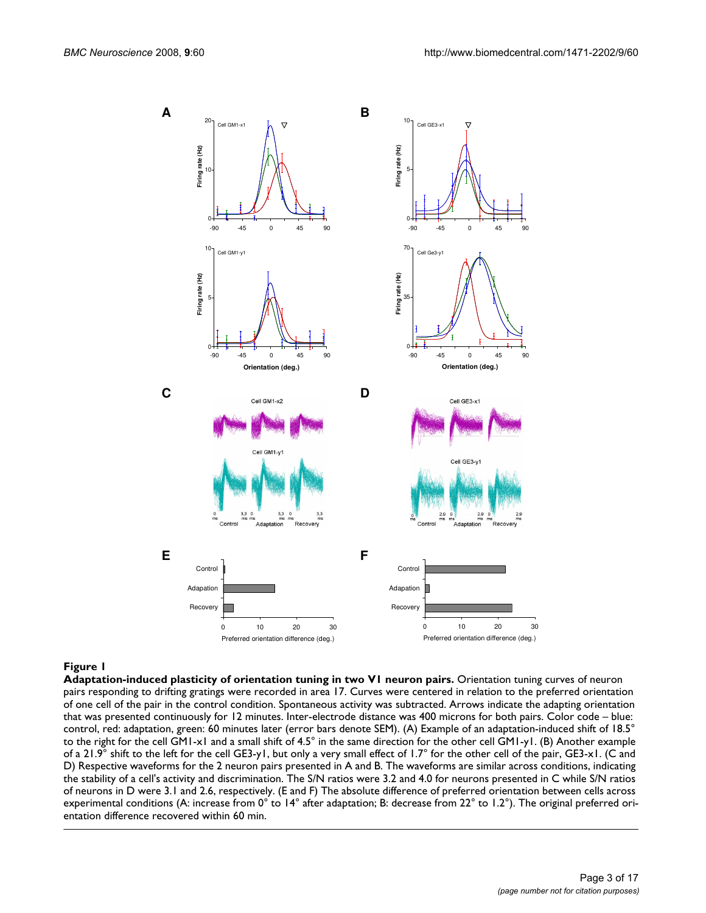

**Adaptation-induced plasticity of orientation tuning in two V1 neuron pairs.** Orientation tuning curves of neuron pairs responding to drifting gratings were recorded in area 17. Curves were centered in relation to the preferred orientation of one cell of the pair in the control condition. Spontaneous activity was subtracted. Arrows indicate the adapting orientation that was presented continuously for 12 minutes. Inter-electrode distance was 400 microns for both pairs. Color code – blue: control, red: adaptation, green: 60 minutes later (error bars denote SEM). (A) Example of an adaptation-induced shift of 18.5° to the right for the cell GM1-x1 and a small shift of 4.5° in the same direction for the other cell GM1-y1. (B) Another example of a 21.9° shift to the left for the cell GE3-y1, but only a very small effect of 1.7° for the other cell of the pair, GE3-x1. (C and D) Respective waveforms for the 2 neuron pairs presented in A and B. The waveforms are similar across conditions, indicating the stability of a cell's activity and discrimination. The S/N ratios were 3.2 and 4.0 for neurons presented in C while S/N ratios of neurons in D were 3.1 and 2.6, respectively. (E and F) The absolute difference of preferred orientation between cells across experimental conditions (A: increase from 0° to 14° after adaptation; B: decrease from 22° to 1.2°). The original preferred orientation difference recovered within 60 min.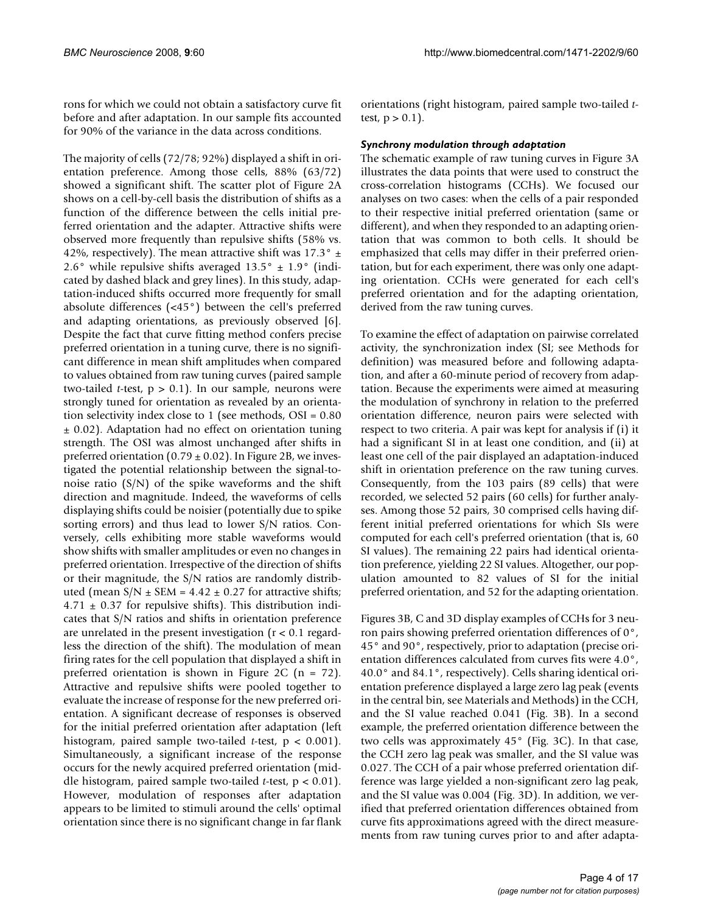rons for which we could not obtain a satisfactory curve fit before and after adaptation. In our sample fits accounted for 90% of the variance in the data across conditions.

The majority of cells (72/78; 92%) displayed a shift in orientation preference. Among those cells, 88% (63/72) showed a significant shift. The scatter plot of Figure 2A shows on a cell-by-cell basis the distribution of shifts as a function of the difference between the cells initial preferred orientation and the adapter. Attractive shifts were observed more frequently than repulsive shifts (58% vs. 42%, respectively). The mean attractive shift was 17.3°  $\pm$ 2.6° while repulsive shifts averaged  $13.5^{\circ} \pm 1.9^{\circ}$  (indicated by dashed black and grey lines). In this study, adaptation-induced shifts occurred more frequently for small absolute differences (<45°) between the cell's preferred and adapting orientations, as previously observed [6]. Despite the fact that curve fitting method confers precise preferred orientation in a tuning curve, there is no significant difference in mean shift amplitudes when compared to values obtained from raw tuning curves (paired sample two-tailed *t*-test, p > 0.1). In our sample, neurons were strongly tuned for orientation as revealed by an orientation selectivity index close to 1 (see methods, OSI = 0.80 ± 0.02). Adaptation had no effect on orientation tuning strength. The OSI was almost unchanged after shifts in preferred orientation ( $0.79 \pm 0.02$ ). In Figure 2B, we investigated the potential relationship between the signal-tonoise ratio  $(S/N)$  of the spike waveforms and the shift direction and magnitude. Indeed, the waveforms of cells displaying shifts could be noisier (potentially due to spike sorting errors) and thus lead to lower S/N ratios. Conversely, cells exhibiting more stable waveforms would show shifts with smaller amplitudes or even no changes in preferred orientation. Irrespective of the direction of shifts or their magnitude, the S/N ratios are randomly distributed (mean  $S/N \pm SEM = 4.42 \pm 0.27$  for attractive shifts;  $4.71 \pm 0.37$  for repulsive shifts). This distribution indicates that S/N ratios and shifts in orientation preference are unrelated in the present investigation ( $r < 0.1$  regardless the direction of the shift). The modulation of mean firing rates for the cell population that displayed a shift in preferred orientation is shown in Figure 2C (n = 72). Attractive and repulsive shifts were pooled together to evaluate the increase of response for the new preferred orientation. A significant decrease of responses is observed for the initial preferred orientation after adaptation (left histogram, paired sample two-tailed *t*-test, p < 0.001). Simultaneously, a significant increase of the response occurs for the newly acquired preferred orientation (middle histogram, paired sample two-tailed *t*-test, p < 0.01). However, modulation of responses after adaptation appears to be limited to stimuli around the cells' optimal orientation since there is no significant change in far flank orientations (right histogram, paired sample two-tailed *t*test,  $p > 0.1$ ).

#### *Synchrony modulation through adaptation*

The schematic example of raw tuning curves in Figure 3A illustrates the data points that were used to construct the cross-correlation histograms (CCHs). We focused our analyses on two cases: when the cells of a pair responded to their respective initial preferred orientation (same or different), and when they responded to an adapting orientation that was common to both cells. It should be emphasized that cells may differ in their preferred orientation, but for each experiment, there was only one adapting orientation. CCHs were generated for each cell's preferred orientation and for the adapting orientation, derived from the raw tuning curves.

To examine the effect of adaptation on pairwise correlated activity, the synchronization index (SI; see Methods for definition) was measured before and following adaptation, and after a 60-minute period of recovery from adaptation. Because the experiments were aimed at measuring the modulation of synchrony in relation to the preferred orientation difference, neuron pairs were selected with respect to two criteria. A pair was kept for analysis if (i) it had a significant SI in at least one condition, and (ii) at least one cell of the pair displayed an adaptation-induced shift in orientation preference on the raw tuning curves. Consequently, from the 103 pairs (89 cells) that were recorded, we selected 52 pairs (60 cells) for further analyses. Among those 52 pairs, 30 comprised cells having different initial preferred orientations for which SIs were computed for each cell's preferred orientation (that is, 60 SI values). The remaining 22 pairs had identical orientation preference, yielding 22 SI values. Altogether, our population amounted to 82 values of SI for the initial preferred orientation, and 52 for the adapting orientation.

Figures 3B, C and 3D display examples of CCHs for 3 neuron pairs showing preferred orientation differences of 0°, 45° and 90°, respectively, prior to adaptation (precise orientation differences calculated from curves fits were 4.0°, 40.0° and 84.1°, respectively). Cells sharing identical orientation preference displayed a large zero lag peak (events in the central bin, see Materials and Methods) in the CCH, and the SI value reached 0.041 (Fig. 3B). In a second example, the preferred orientation difference between the two cells was approximately 45° (Fig. 3C). In that case, the CCH zero lag peak was smaller, and the SI value was 0.027. The CCH of a pair whose preferred orientation difference was large yielded a non-significant zero lag peak, and the SI value was 0.004 (Fig. 3D). In addition, we verified that preferred orientation differences obtained from curve fits approximations agreed with the direct measurements from raw tuning curves prior to and after adapta-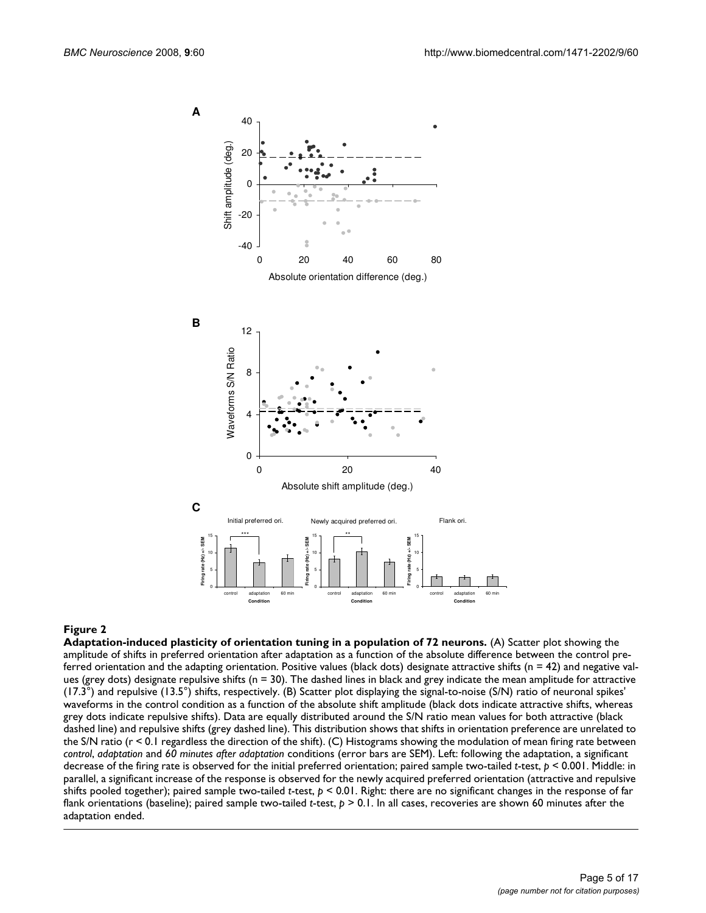

#### Adaptation-induced plasticity of orientat **Figure 2** ion tuning in a population of 72 neurons

**Adaptation-induced plasticity of orientation tuning in a population of 72 neurons.** (A) Scatter plot showing the amplitude of shifts in preferred orientation after adaptation as a function of the absolute difference between the control preferred orientation and the adapting orientation. Positive values (black dots) designate attractive shifts ( $n = 42$ ) and negative values (grey dots) designate repulsive shifts (n = 30). The dashed lines in black and grey indicate the mean amplitude for attractive (17.3°) and repulsive (13.5°) shifts, respectively. (B) Scatter plot displaying the signal-to-noise (S/N) ratio of neuronal spikes' waveforms in the control condition as a function of the absolute shift amplitude (black dots indicate attractive shifts, whereas grey dots indicate repulsive shifts). Data are equally distributed around the S/N ratio mean values for both attractive (black dashed line) and repulsive shifts (grey dashed line). This distribution shows that shifts in orientation preference are unrelated to the S/N ratio (r < 0.1 regardless the direction of the shift). (C) Histograms showing the modulation of mean firing rate between *control*, *adaptation* and *60 minutes after adaptation* conditions (error bars are SEM). Left: following the adaptation, a significant decrease of the firing rate is observed for the initial preferred orientation; paired sample two-tailed *t*-test, *p* < 0.001. Middle: in parallel, a significant increase of the response is observed for the newly acquired preferred orientation (attractive and repulsive shifts pooled together); paired sample two-tailed *t*-test, *p* < 0.01. Right: there are no significant changes in the response of far flank orientations (baseline); paired sample two-tailed *t*-test, *p* > 0.1. In all cases, recoveries are shown 60 minutes after the adaptation ended.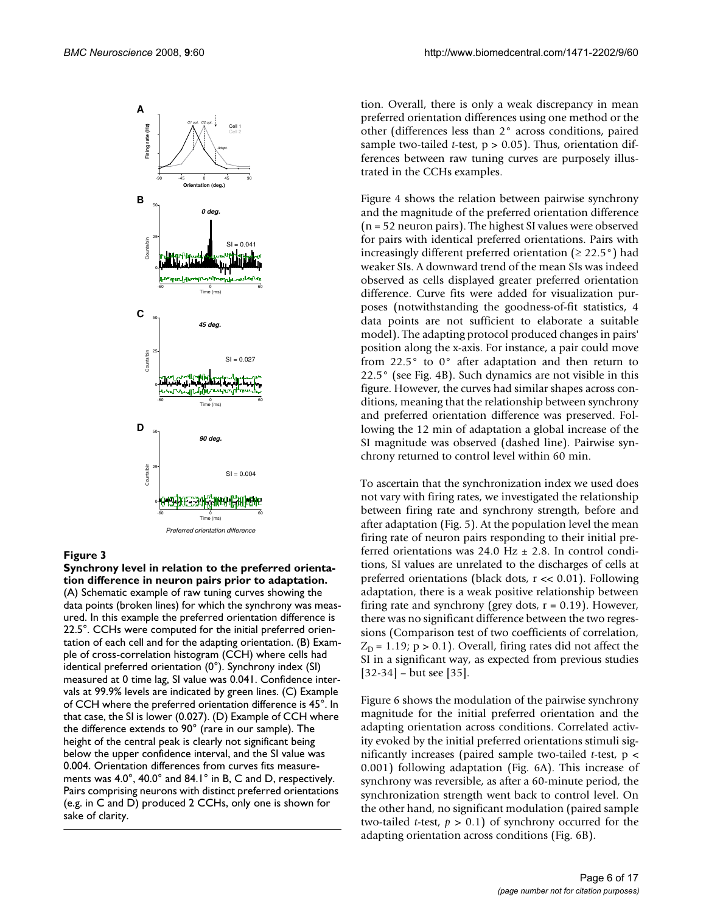

**Synchrony level in relation to the preferred orientation difference in neuron pairs prior to adaptation.** (A) Schematic example of raw tuning curves showing the data points (broken lines) for which the synchrony was measured. In this example the preferred orientation difference is 22.5°. CCHs were computed for the initial preferred orientation of each cell and for the adapting orientation. (B) Example of cross-correlation histogram (CCH) where cells had identical preferred orientation (0°). Synchrony index (SI) measured at 0 time lag, SI value was 0.041. Confidence intervals at 99.9% levels are indicated by green lines. (C) Example of CCH where the preferred orientation difference is 45°. In that case, the SI is lower (0.027). (D) Example of CCH where the difference extends to 90° (rare in our sample). The height of the central peak is clearly not significant being below the upper confidence interval, and the SI value was 0.004. Orientation differences from curves fits measurements was 4.0°, 40.0° and 84.1° in B, C and D, respectively. Pairs comprising neurons with distinct preferred orientations (e.g. in C and D) produced 2 CCHs, only one is shown for sake of clarity.

tion. Overall, there is only a weak discrepancy in mean preferred orientation differences using one method or the other (differences less than 2° across conditions, paired sample two-tailed *t*-test,  $p > 0.05$ ). Thus, orientation differences between raw tuning curves are purposely illustrated in the CCHs examples.

Figure 4 shows the relation between pairwise synchrony and the magnitude of the preferred orientation difference (n = 52 neuron pairs). The highest SI values were observed for pairs with identical preferred orientations. Pairs with increasingly different preferred orientation ( $\geq 22.5^{\circ}$ ) had weaker SIs. A downward trend of the mean SIs was indeed observed as cells displayed greater preferred orientation difference. Curve fits were added for visualization purposes (notwithstanding the goodness-of-fit statistics, 4 data points are not sufficient to elaborate a suitable model). The adapting protocol produced changes in pairs' position along the x-axis. For instance, a pair could move from 22.5° to 0° after adaptation and then return to 22.5° (see Fig. 4B). Such dynamics are not visible in this figure. However, the curves had similar shapes across conditions, meaning that the relationship between synchrony and preferred orientation difference was preserved. Following the 12 min of adaptation a global increase of the SI magnitude was observed (dashed line). Pairwise synchrony returned to control level within 60 min.

To ascertain that the synchronization index we used does not vary with firing rates, we investigated the relationship between firing rate and synchrony strength, before and after adaptation (Fig. 5). At the population level the mean firing rate of neuron pairs responding to their initial preferred orientations was 24.0 Hz  $\pm$  2.8. In control conditions, SI values are unrelated to the discharges of cells at preferred orientations (black dots, r << 0.01). Following adaptation, there is a weak positive relationship between firing rate and synchrony (grey dots,  $r = 0.19$ ). However, there was no significant difference between the two regressions (Comparison test of two coefficients of correlation,  $Z_D$  = 1.19; p > 0.1). Overall, firing rates did not affect the SI in a significant way, as expected from previous studies [32-34] – but see [35].

Figure 6 shows the modulation of the pairwise synchrony magnitude for the initial preferred orientation and the adapting orientation across conditions. Correlated activity evoked by the initial preferred orientations stimuli significantly increases (paired sample two-tailed *t*-test, p < 0.001) following adaptation (Fig. 6A). This increase of synchrony was reversible, as after a 60-minute period, the synchronization strength went back to control level. On the other hand, no significant modulation (paired sample two-tailed *t*-test,  $p > 0.1$ ) of synchrony occurred for the adapting orientation across conditions (Fig. 6B).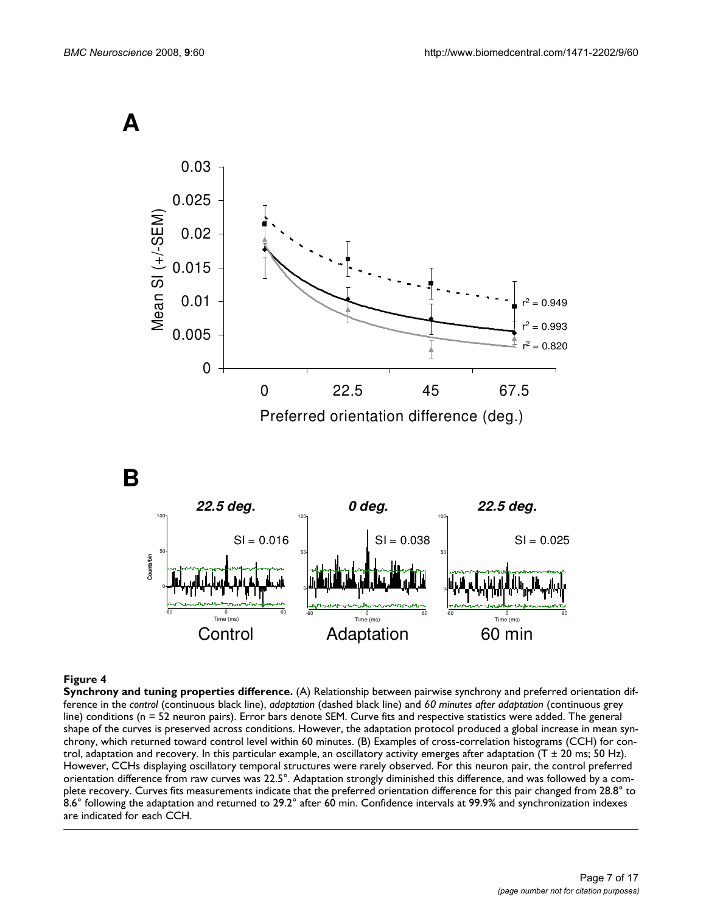**A** 



Preferred orientation difference (deg.)

**B** 



# **Figure 4**

**Synchrony and tuning properties difference.** (A) Relationship between pairwise synchrony and preferred orientation difference in the *control* (continuous black line), *adaptation* (dashed black line) and *60 minutes after adaptation* (continuous grey line) conditions (n = 52 neuron pairs). Error bars denote SEM. Curve fits and respective statistics were added. The general shape of the curves is preserved across conditions. However, the adaptation protocol produced a global increase in mean synchrony, which returned toward control level within 60 minutes. (B) Examples of cross-correlation histograms (CCH) for control, adaptation and recovery. In this particular example, an oscillatory activity emerges after adaptation ( $T \pm 20$  ms; 50 Hz). However, CCHs displaying oscillatory temporal structures were rarely observed. For this neuron pair, the control preferred orientation difference from raw curves was 22.5°. Adaptation strongly diminished this difference, and was followed by a complete recovery. Curves fits measurements indicate that the preferred orientation difference for this pair changed from 28.8° to 8.6° following the adaptation and returned to 29.2° after 60 min. Confidence intervals at 99.9% and synchronization indexes are indicated for each CCH.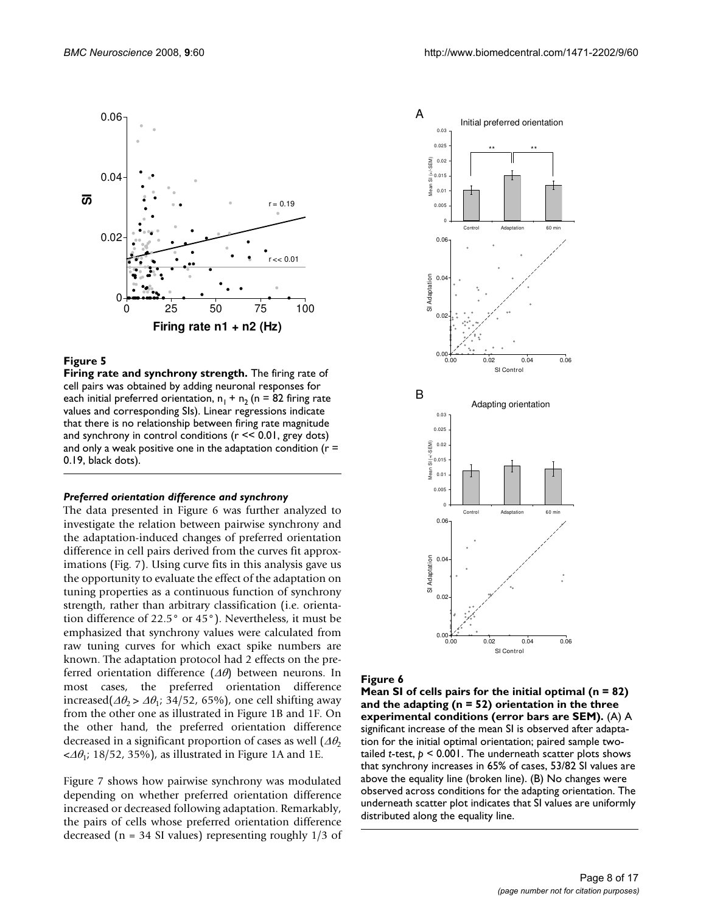

**Firing rate and synchrony strength.** The firing rate of cell pairs was obtained by adding neuronal responses for each initial preferred orientation,  $n_1 + n_2$  (n = 82 firing rate values and corresponding SIs). Linear regressions indicate that there is no relationship between firing rate magnitude and synchrony in control conditions (r << 0.01, grey dots) and only a weak positive one in the adaptation condition ( $r =$ 0.19, black dots).

#### *Preferred orientation difference and synchrony*

The data presented in Figure 6 was further analyzed to investigate the relation between pairwise synchrony and the adaptation-induced changes of preferred orientation difference in cell pairs derived from the curves fit approximations (Fig. 7). Using curve fits in this analysis gave us the opportunity to evaluate the effect of the adaptation on tuning properties as a continuous function of synchrony strength, rather than arbitrary classification (i.e. orientation difference of 22.5° or 45°). Nevertheless, it must be emphasized that synchrony values were calculated from raw tuning curves for which exact spike numbers are known. The adaptation protocol had 2 effects on the preferred orientation difference  $(\Delta\theta)$  between neurons. In most cases, the preferred orientation difference increased( $\Delta\theta_2 > \Delta\theta_1$ ; 34/52, 65%), one cell shifting away from the other one as illustrated in Figure 1B and 1F. On the other hand, the preferred orientation difference decreased in a significant proportion of cases as well  $(\Delta \theta_2)$  $\langle \Delta \theta_1$ ; 18/52, 35%), as illustrated in Figure 1A and 1E.

Figure 7 shows how pairwise synchrony was modulated depending on whether preferred orientation difference increased or decreased following adaptation. Remarkably, the pairs of cells whose preferred orientation difference decreased ( $n = 34$  SI values) representing roughly  $1/3$  of



#### Figure 6

**Mean SI of cells pairs for the initial optimal (n = 82) and the adapting (n = 52) orientation in the three experimental conditions (error bars are SEM).** (A) A significant increase of the mean SI is observed after adaptation for the initial optimal orientation; paired sample twotailed *t*-test, *p* < 0.001. The underneath scatter plots shows that synchrony increases in 65% of cases, 53/82 SI values are above the equality line (broken line). (B) No changes were observed across conditions for the adapting orientation. The underneath scatter plot indicates that SI values are uniformly distributed along the equality line.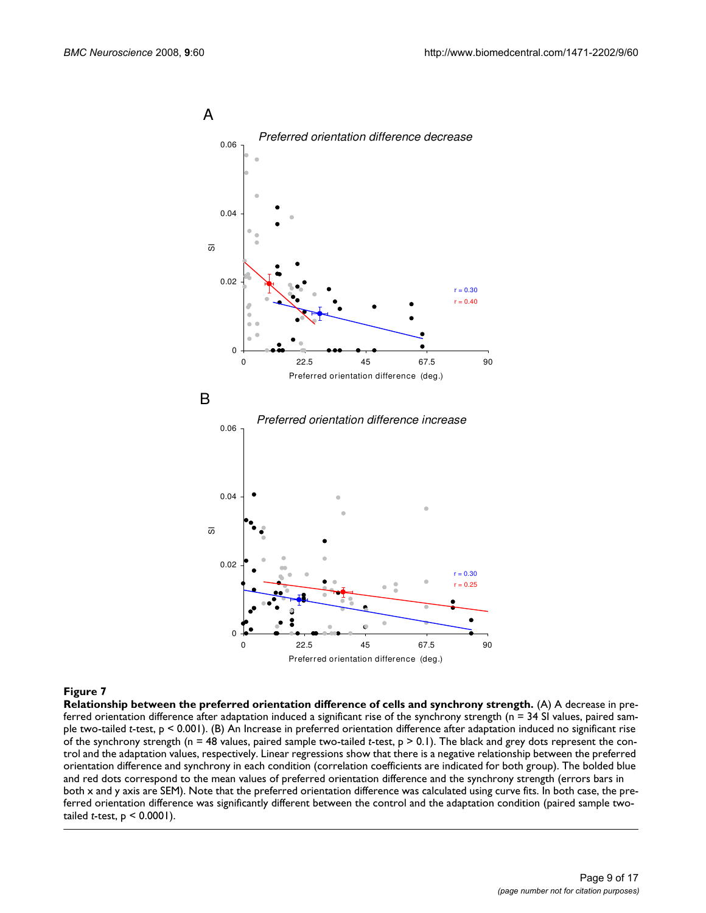

**Relationship between the preferred orientation difference of cells and synchrony strength.** (A) A decrease in preferred orientation difference after adaptation induced a significant rise of the synchrony strength (n = 34 SI values, paired sample two-tailed *t*-test, p < 0.001). (B) An Increase in preferred orientation difference after adaptation induced no significant rise of the synchrony strength (n = 48 values, paired sample two-tailed *t*-test, p > 0.1). The black and grey dots represent the control and the adaptation values, respectively. Linear regressions show that there is a negative relationship between the preferred orientation difference and synchrony in each condition (correlation coefficients are indicated for both group). The bolded blue and red dots correspond to the mean values of preferred orientation difference and the synchrony strength (errors bars in both x and y axis are SEM). Note that the preferred orientation difference was calculated using curve fits. In both case, the preferred orientation difference was significantly different between the control and the adaptation condition (paired sample twotailed *t*-test, p < 0.0001).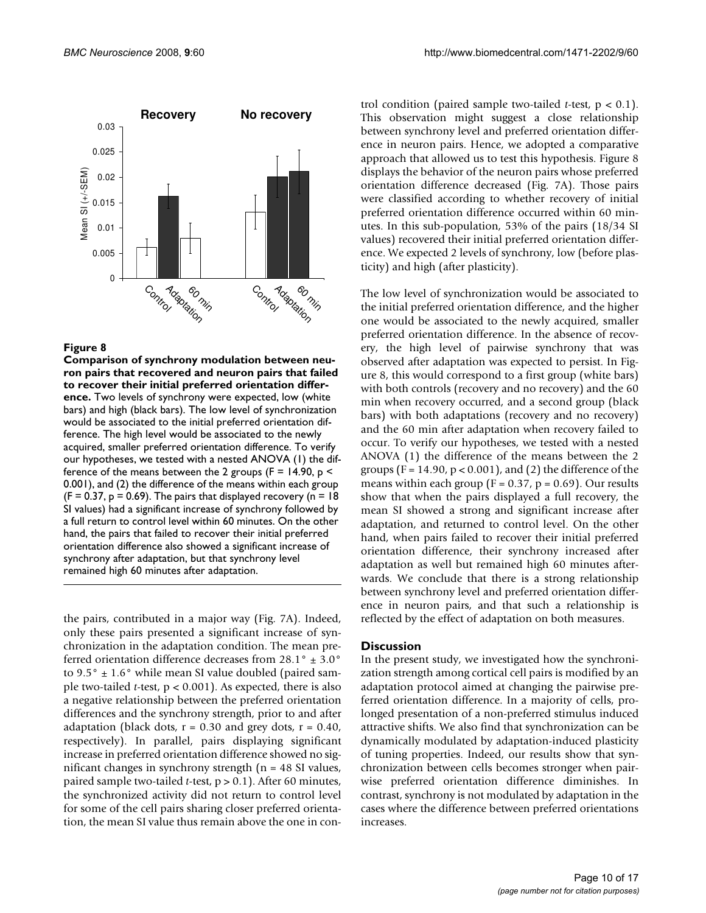

**Comparison of synchrony modulation between neuron pairs that recovered and neuron pairs that failed to recover their initial preferred orientation difference.** Two levels of synchrony were expected, low (white bars) and high (black bars). The low level of synchronization would be associated to the initial preferred orientation difference. The high level would be associated to the newly acquired, smaller preferred orientation difference. To verify our hypotheses, we tested with a nested ANOVA (1) the difference of the means between the 2 groups ( $F = 14.90$ ,  $p <$ 0.001), and (2) the difference of the means within each group  $(F = 0.37, p = 0.69)$ . The pairs that displayed recovery (n = 18) SI values) had a significant increase of synchrony followed by a full return to control level within 60 minutes. On the other hand, the pairs that failed to recover their initial preferred orientation difference also showed a significant increase of synchrony after adaptation, but that synchrony level remained high 60 minutes after adaptation.

the pairs, contributed in a major way (Fig. 7A). Indeed, only these pairs presented a significant increase of synchronization in the adaptation condition. The mean preferred orientation difference decreases from 28.1° ± 3.0° to  $9.5^{\circ} \pm 1.6^{\circ}$  while mean SI value doubled (paired sample two-tailed *t*-test, p < 0.001). As expected, there is also a negative relationship between the preferred orientation differences and the synchrony strength, prior to and after adaptation (black dots,  $r = 0.30$  and grey dots,  $r = 0.40$ , respectively). In parallel, pairs displaying significant increase in preferred orientation difference showed no significant changes in synchrony strength ( $n = 48$  SI values, paired sample two-tailed *t*-test, p > 0.1). After 60 minutes, the synchronized activity did not return to control level for some of the cell pairs sharing closer preferred orientation, the mean SI value thus remain above the one in control condition (paired sample two-tailed *t*-test, p < 0.1). This observation might suggest a close relationship between synchrony level and preferred orientation difference in neuron pairs. Hence, we adopted a comparative approach that allowed us to test this hypothesis. Figure 8 displays the behavior of the neuron pairs whose preferred orientation difference decreased (Fig. 7A). Those pairs were classified according to whether recovery of initial preferred orientation difference occurred within 60 minutes. In this sub-population, 53% of the pairs (18/34 SI values) recovered their initial preferred orientation difference. We expected 2 levels of synchrony, low (before plasticity) and high (after plasticity).

The low level of synchronization would be associated to the initial preferred orientation difference, and the higher one would be associated to the newly acquired, smaller preferred orientation difference. In the absence of recovery, the high level of pairwise synchrony that was observed after adaptation was expected to persist. In Figure 8, this would correspond to a first group (white bars) with both controls (recovery and no recovery) and the 60 min when recovery occurred, and a second group (black bars) with both adaptations (recovery and no recovery) and the 60 min after adaptation when recovery failed to occur. To verify our hypotheses, we tested with a nested ANOVA (1) the difference of the means between the 2 groups ( $F = 14.90$ ,  $p < 0.001$ ), and (2) the difference of the means within each group ( $F = 0.37$ ,  $p = 0.69$ ). Our results show that when the pairs displayed a full recovery, the mean SI showed a strong and significant increase after adaptation, and returned to control level. On the other hand, when pairs failed to recover their initial preferred orientation difference, their synchrony increased after adaptation as well but remained high 60 minutes afterwards. We conclude that there is a strong relationship between synchrony level and preferred orientation difference in neuron pairs, and that such a relationship is reflected by the effect of adaptation on both measures.

# **Discussion**

In the present study, we investigated how the synchronization strength among cortical cell pairs is modified by an adaptation protocol aimed at changing the pairwise preferred orientation difference. In a majority of cells, prolonged presentation of a non-preferred stimulus induced attractive shifts. We also find that synchronization can be dynamically modulated by adaptation-induced plasticity of tuning properties. Indeed, our results show that synchronization between cells becomes stronger when pairwise preferred orientation difference diminishes. In contrast, synchrony is not modulated by adaptation in the cases where the difference between preferred orientations increases.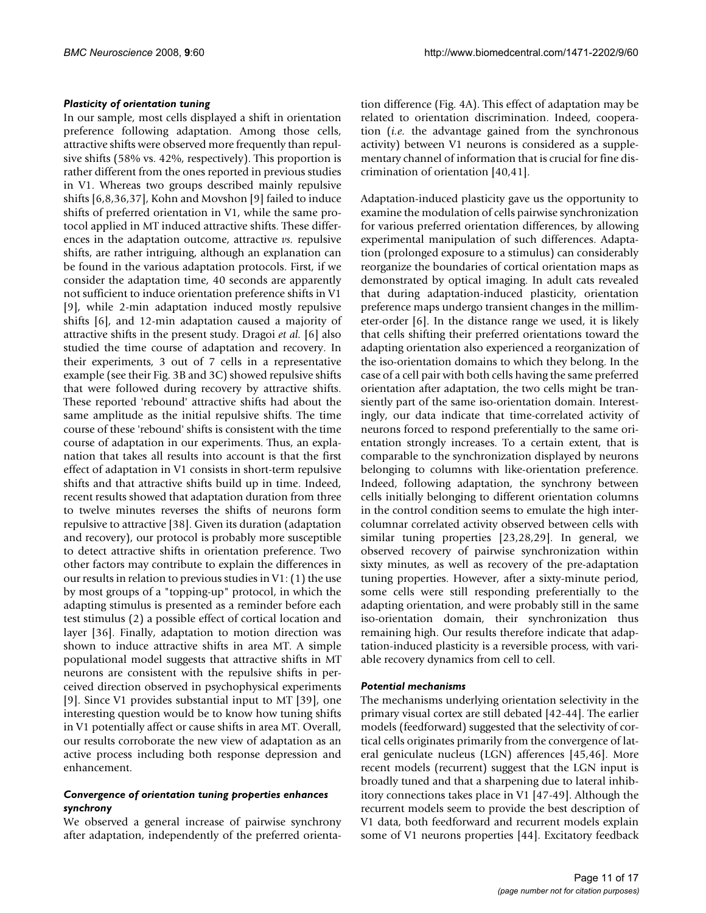#### *Plasticity of orientation tuning*

In our sample, most cells displayed a shift in orientation preference following adaptation. Among those cells, attractive shifts were observed more frequently than repulsive shifts (58% vs. 42%, respectively). This proportion is rather different from the ones reported in previous studies in V1. Whereas two groups described mainly repulsive shifts [6,8,36,37], Kohn and Movshon [9] failed to induce shifts of preferred orientation in V1, while the same protocol applied in MT induced attractive shifts. These differences in the adaptation outcome, attractive *vs.* repulsive shifts, are rather intriguing, although an explanation can be found in the various adaptation protocols. First, if we consider the adaptation time, 40 seconds are apparently not sufficient to induce orientation preference shifts in V1 [9], while 2-min adaptation induced mostly repulsive shifts [6], and 12-min adaptation caused a majority of attractive shifts in the present study. Dragoi *et al.* [6] also studied the time course of adaptation and recovery. In their experiments, 3 out of 7 cells in a representative example (see their Fig. 3B and 3C) showed repulsive shifts that were followed during recovery by attractive shifts. These reported 'rebound' attractive shifts had about the same amplitude as the initial repulsive shifts. The time course of these 'rebound' shifts is consistent with the time course of adaptation in our experiments. Thus, an explanation that takes all results into account is that the first effect of adaptation in V1 consists in short-term repulsive shifts and that attractive shifts build up in time. Indeed, recent results showed that adaptation duration from three to twelve minutes reverses the shifts of neurons form repulsive to attractive [38]. Given its duration (adaptation and recovery), our protocol is probably more susceptible to detect attractive shifts in orientation preference. Two other factors may contribute to explain the differences in our results in relation to previous studies in V1: (1) the use by most groups of a "topping-up" protocol, in which the adapting stimulus is presented as a reminder before each test stimulus (2) a possible effect of cortical location and layer [36]. Finally, adaptation to motion direction was shown to induce attractive shifts in area MT. A simple populational model suggests that attractive shifts in MT neurons are consistent with the repulsive shifts in perceived direction observed in psychophysical experiments [9]. Since V1 provides substantial input to MT [39], one interesting question would be to know how tuning shifts in V1 potentially affect or cause shifts in area MT. Overall, our results corroborate the new view of adaptation as an active process including both response depression and enhancement.

#### *Convergence of orientation tuning properties enhances synchrony*

We observed a general increase of pairwise synchrony after adaptation, independently of the preferred orientation difference (Fig. 4A). This effect of adaptation may be related to orientation discrimination. Indeed, cooperation (*i.e.* the advantage gained from the synchronous activity) between V1 neurons is considered as a supplementary channel of information that is crucial for fine discrimination of orientation [40,41].

Adaptation-induced plasticity gave us the opportunity to examine the modulation of cells pairwise synchronization for various preferred orientation differences, by allowing experimental manipulation of such differences. Adaptation (prolonged exposure to a stimulus) can considerably reorganize the boundaries of cortical orientation maps as demonstrated by optical imaging. In adult cats revealed that during adaptation-induced plasticity, orientation preference maps undergo transient changes in the millimeter-order [6]. In the distance range we used, it is likely that cells shifting their preferred orientations toward the adapting orientation also experienced a reorganization of the iso-orientation domains to which they belong. In the case of a cell pair with both cells having the same preferred orientation after adaptation, the two cells might be transiently part of the same iso-orientation domain. Interestingly, our data indicate that time-correlated activity of neurons forced to respond preferentially to the same orientation strongly increases. To a certain extent, that is comparable to the synchronization displayed by neurons belonging to columns with like-orientation preference. Indeed, following adaptation, the synchrony between cells initially belonging to different orientation columns in the control condition seems to emulate the high intercolumnar correlated activity observed between cells with similar tuning properties [23,28,29]. In general, we observed recovery of pairwise synchronization within sixty minutes, as well as recovery of the pre-adaptation tuning properties. However, after a sixty-minute period, some cells were still responding preferentially to the adapting orientation, and were probably still in the same iso-orientation domain, their synchronization thus remaining high. Our results therefore indicate that adaptation-induced plasticity is a reversible process, with variable recovery dynamics from cell to cell.

# *Potential mechanisms*

The mechanisms underlying orientation selectivity in the primary visual cortex are still debated [42-44]. The earlier models (feedforward) suggested that the selectivity of cortical cells originates primarily from the convergence of lateral geniculate nucleus (LGN) afferences [45,46]. More recent models (recurrent) suggest that the LGN input is broadly tuned and that a sharpening due to lateral inhibitory connections takes place in V1 [47-49]. Although the recurrent models seem to provide the best description of V1 data, both feedforward and recurrent models explain some of V1 neurons properties [44]. Excitatory feedback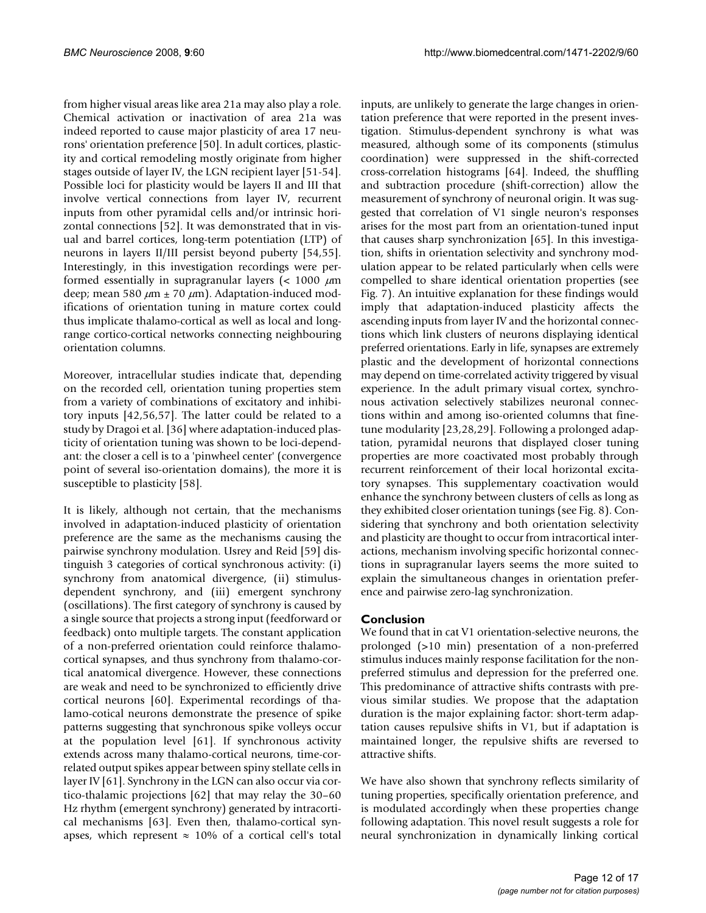from higher visual areas like area 21a may also play a role. Chemical activation or inactivation of area 21a was indeed reported to cause major plasticity of area 17 neurons' orientation preference [50]. In adult cortices, plasticity and cortical remodeling mostly originate from higher stages outside of layer IV, the LGN recipient layer [51-54]. Possible loci for plasticity would be layers II and III that involve vertical connections from layer IV, recurrent inputs from other pyramidal cells and/or intrinsic horizontal connections [52]. It was demonstrated that in visual and barrel cortices, long-term potentiation (LTP) of neurons in layers II/III persist beyond puberty [54,55]. Interestingly, in this investigation recordings were performed essentially in supragranular layers ( $<$  1000  $\mu$ m deep; mean 580  $\mu$ m  $\pm$  70  $\mu$ m). Adaptation-induced modifications of orientation tuning in mature cortex could thus implicate thalamo-cortical as well as local and longrange cortico-cortical networks connecting neighbouring orientation columns.

Moreover, intracellular studies indicate that, depending on the recorded cell, orientation tuning properties stem from a variety of combinations of excitatory and inhibitory inputs [42,56,57]. The latter could be related to a study by Dragoi et al. [36] where adaptation-induced plasticity of orientation tuning was shown to be loci-dependant: the closer a cell is to a 'pinwheel center' (convergence point of several iso-orientation domains), the more it is susceptible to plasticity [58].

It is likely, although not certain, that the mechanisms involved in adaptation-induced plasticity of orientation preference are the same as the mechanisms causing the pairwise synchrony modulation. Usrey and Reid [59] distinguish 3 categories of cortical synchronous activity: (i) synchrony from anatomical divergence, (ii) stimulusdependent synchrony, and (iii) emergent synchrony (oscillations). The first category of synchrony is caused by a single source that projects a strong input (feedforward or feedback) onto multiple targets. The constant application of a non-preferred orientation could reinforce thalamocortical synapses, and thus synchrony from thalamo-cortical anatomical divergence. However, these connections are weak and need to be synchronized to efficiently drive cortical neurons [60]. Experimental recordings of thalamo-cotical neurons demonstrate the presence of spike patterns suggesting that synchronous spike volleys occur at the population level [61]. If synchronous activity extends across many thalamo-cortical neurons, time-correlated output spikes appear between spiny stellate cells in layer IV [61]. Synchrony in the LGN can also occur via cortico-thalamic projections [62] that may relay the 30–60 Hz rhythm (emergent synchrony) generated by intracortical mechanisms [63]. Even then, thalamo-cortical synapses, which represent  $\approx$  10% of a cortical cell's total

inputs, are unlikely to generate the large changes in orientation preference that were reported in the present investigation. Stimulus-dependent synchrony is what was measured, although some of its components (stimulus coordination) were suppressed in the shift-corrected cross-correlation histograms [64]. Indeed, the shuffling and subtraction procedure (shift-correction) allow the measurement of synchrony of neuronal origin. It was suggested that correlation of V1 single neuron's responses arises for the most part from an orientation-tuned input that causes sharp synchronization [65]. In this investigation, shifts in orientation selectivity and synchrony modulation appear to be related particularly when cells were compelled to share identical orientation properties (see Fig. 7). An intuitive explanation for these findings would imply that adaptation-induced plasticity affects the ascending inputs from layer IV and the horizontal connections which link clusters of neurons displaying identical preferred orientations. Early in life, synapses are extremely plastic and the development of horizontal connections may depend on time-correlated activity triggered by visual experience. In the adult primary visual cortex, synchronous activation selectively stabilizes neuronal connections within and among iso-oriented columns that finetune modularity [23,28,29]. Following a prolonged adaptation, pyramidal neurons that displayed closer tuning properties are more coactivated most probably through recurrent reinforcement of their local horizontal excitatory synapses. This supplementary coactivation would enhance the synchrony between clusters of cells as long as they exhibited closer orientation tunings (see Fig. 8). Considering that synchrony and both orientation selectivity and plasticity are thought to occur from intracortical interactions, mechanism involving specific horizontal connections in supragranular layers seems the more suited to explain the simultaneous changes in orientation preference and pairwise zero-lag synchronization.

# **Conclusion**

We found that in cat V1 orientation-selective neurons, the prolonged (>10 min) presentation of a non-preferred stimulus induces mainly response facilitation for the nonpreferred stimulus and depression for the preferred one. This predominance of attractive shifts contrasts with previous similar studies. We propose that the adaptation duration is the major explaining factor: short-term adaptation causes repulsive shifts in V1, but if adaptation is maintained longer, the repulsive shifts are reversed to attractive shifts.

We have also shown that synchrony reflects similarity of tuning properties, specifically orientation preference, and is modulated accordingly when these properties change following adaptation. This novel result suggests a role for neural synchronization in dynamically linking cortical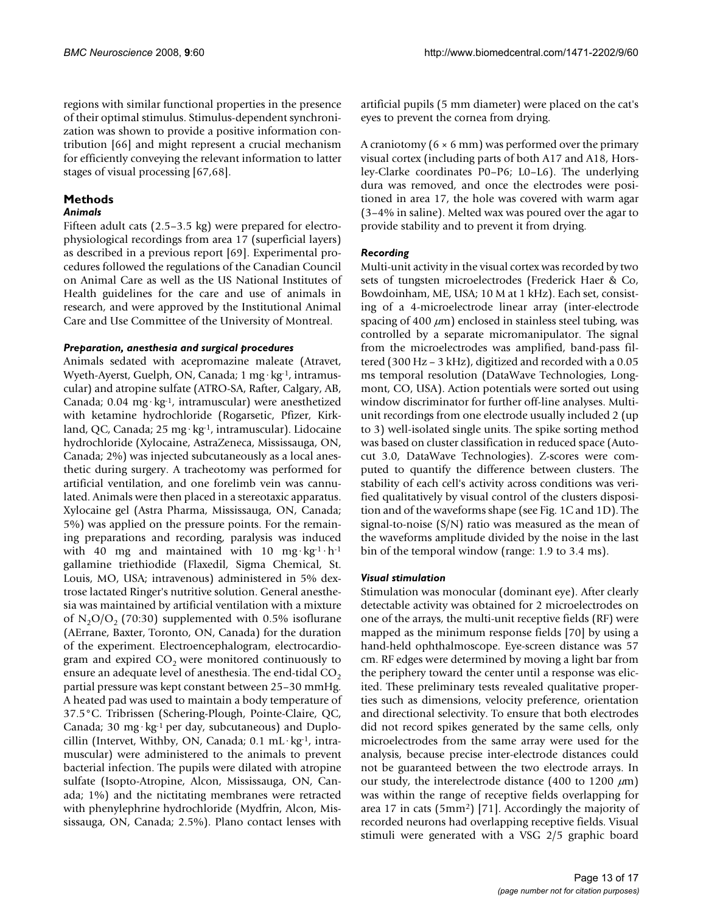regions with similar functional properties in the presence of their optimal stimulus. Stimulus-dependent synchronization was shown to provide a positive information contribution [66] and might represent a crucial mechanism for efficiently conveying the relevant information to latter stages of visual processing [67,68].

# **Methods**

#### *Animals*

Fifteen adult cats (2.5–3.5 kg) were prepared for electrophysiological recordings from area 17 (superficial layers) as described in a previous report [69]. Experimental procedures followed the regulations of the Canadian Council on Animal Care as well as the US National Institutes of Health guidelines for the care and use of animals in research, and were approved by the Institutional Animal Care and Use Committee of the University of Montreal.

#### *Preparation, anesthesia and surgical procedures*

Animals sedated with acepromazine maleate (Atravet, Wyeth-Ayerst, Guelph, ON, Canada; 1 mg·kg<sup>-1</sup>, intramuscular) and atropine sulfate (ATRO-SA, Rafter, Calgary, AB, Canada; 0.04 mg·kg-1, intramuscular) were anesthetized with ketamine hydrochloride (Rogarsetic, Pfizer, Kirkland, QC, Canada; 25 mg·kg-1, intramuscular). Lidocaine hydrochloride (Xylocaine, AstraZeneca, Mississauga, ON, Canada; 2%) was injected subcutaneously as a local anesthetic during surgery. A tracheotomy was performed for artificial ventilation, and one forelimb vein was cannulated. Animals were then placed in a stereotaxic apparatus. Xylocaine gel (Astra Pharma, Mississauga, ON, Canada; 5%) was applied on the pressure points. For the remaining preparations and recording, paralysis was induced with 40 mg and maintained with 10 mg·kg<sup>-1</sup>·h<sup>-1</sup> gallamine triethiodide (Flaxedil, Sigma Chemical, St. Louis, MO, USA; intravenous) administered in 5% dextrose lactated Ringer's nutritive solution. General anesthesia was maintained by artificial ventilation with a mixture of  $N_2O/O_2$  (70:30) supplemented with 0.5% isoflurane (AErrane, Baxter, Toronto, ON, Canada) for the duration of the experiment. Electroencephalogram, electrocardiogram and expired  $CO<sub>2</sub>$  were monitored continuously to ensure an adequate level of anesthesia. The end-tidal  $CO<sub>2</sub>$ partial pressure was kept constant between 25–30 mmHg. A heated pad was used to maintain a body temperature of 37.5°C. Tribrissen (Schering-Plough, Pointe-Claire, QC, Canada; 30 mg·kg<sup>-1</sup> per day, subcutaneous) and Duplocillin (Intervet, Withby, ON, Canada;  $0.1 \text{ mL} \cdot \text{kg}^{-1}$ , intramuscular) were administered to the animals to prevent bacterial infection. The pupils were dilated with atropine sulfate (Isopto-Atropine, Alcon, Mississauga, ON, Canada; 1%) and the nictitating membranes were retracted with phenylephrine hydrochloride (Mydfrin, Alcon, Mississauga, ON, Canada; 2.5%). Plano contact lenses with

artificial pupils (5 mm diameter) were placed on the cat's eyes to prevent the cornea from drying.

A craniotomy ( $6 \times 6$  mm) was performed over the primary visual cortex (including parts of both A17 and A18, Horsley-Clarke coordinates P0–P6; L0–L6). The underlying dura was removed, and once the electrodes were positioned in area 17, the hole was covered with warm agar (3–4% in saline). Melted wax was poured over the agar to provide stability and to prevent it from drying.

# *Recording*

Multi-unit activity in the visual cortex was recorded by two sets of tungsten microelectrodes (Frederick Haer & Co, Bowdoinham, ME, USA; 10 M at 1 kHz). Each set, consisting of a 4-microelectrode linear array (inter-electrode spacing of 400  $\mu$ m) enclosed in stainless steel tubing, was controlled by a separate micromanipulator. The signal from the microelectrodes was amplified, band-pass filtered (300 Hz – 3 kHz), digitized and recorded with a 0.05 ms temporal resolution (DataWave Technologies, Longmont, CO, USA). Action potentials were sorted out using window discriminator for further off-line analyses. Multiunit recordings from one electrode usually included 2 (up to 3) well-isolated single units. The spike sorting method was based on cluster classification in reduced space (Autocut 3.0, DataWave Technologies). Z-scores were computed to quantify the difference between clusters. The stability of each cell's activity across conditions was verified qualitatively by visual control of the clusters disposition and of the waveforms shape (see Fig. 1C and 1D). The signal-to-noise (S/N) ratio was measured as the mean of the waveforms amplitude divided by the noise in the last bin of the temporal window (range: 1.9 to 3.4 ms).

# *Visual stimulation*

Stimulation was monocular (dominant eye). After clearly detectable activity was obtained for 2 microelectrodes on one of the arrays, the multi-unit receptive fields (RF) were mapped as the minimum response fields [70] by using a hand-held ophthalmoscope. Eye-screen distance was 57 cm. RF edges were determined by moving a light bar from the periphery toward the center until a response was elicited. These preliminary tests revealed qualitative properties such as dimensions, velocity preference, orientation and directional selectivity. To ensure that both electrodes did not record spikes generated by the same cells, only microelectrodes from the same array were used for the analysis, because precise inter-electrode distances could not be guaranteed between the two electrode arrays. In our study, the interelectrode distance (400 to 1200  $\mu$ m) was within the range of receptive fields overlapping for area 17 in cats (5mm2) [71]. Accordingly the majority of recorded neurons had overlapping receptive fields. Visual stimuli were generated with a VSG 2/5 graphic board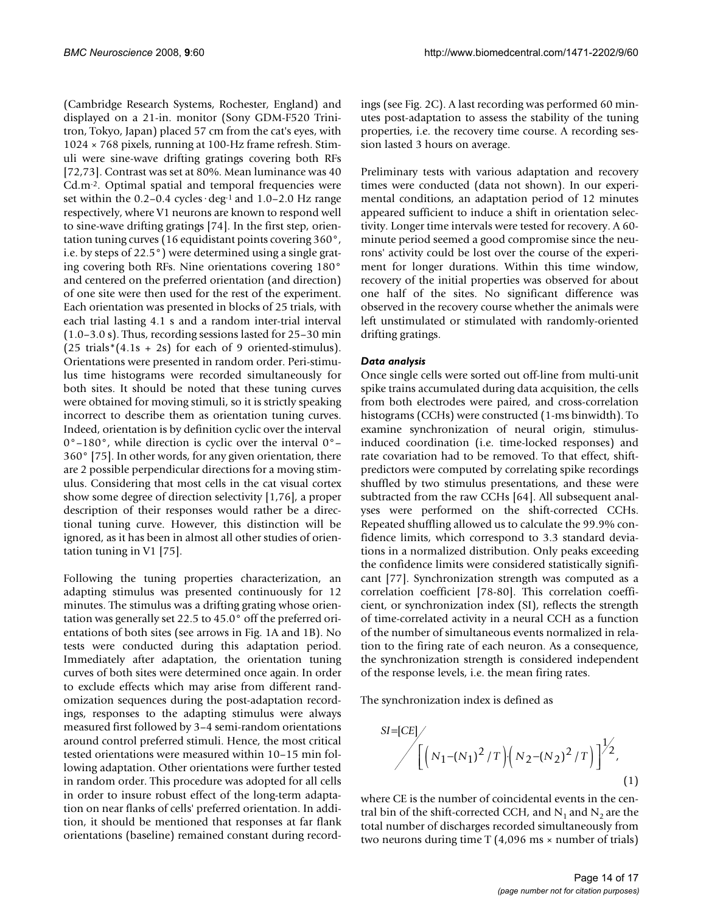(Cambridge Research Systems, Rochester, England) and displayed on a 21-in. monitor (Sony GDM-F520 Trinitron, Tokyo, Japan) placed 57 cm from the cat's eyes, with 1024 × 768 pixels, running at 100-Hz frame refresh. Stimuli were sine-wave drifting gratings covering both RFs [72,73]. Contrast was set at 80%. Mean luminance was 40 Cd.m-2. Optimal spatial and temporal frequencies were set within the  $0.2-0.4$  cycles  $\deg$ <sup>1</sup> and  $1.0-2.0$  Hz range respectively, where V1 neurons are known to respond well to sine-wave drifting gratings [74]. In the first step, orientation tuning curves (16 equidistant points covering 360°, i.e. by steps of 22.5°) were determined using a single grating covering both RFs. Nine orientations covering 180° and centered on the preferred orientation (and direction) of one site were then used for the rest of the experiment. Each orientation was presented in blocks of 25 trials, with each trial lasting 4.1 s and a random inter-trial interval (1.0–3.0 s). Thus, recording sessions lasted for 25–30 min  $(25 \text{ trials}*(4.1s + 2s) \text{ for each of } 9 \text{ oriented-stimulus}).$ Orientations were presented in random order. Peri-stimulus time histograms were recorded simultaneously for both sites. It should be noted that these tuning curves were obtained for moving stimuli, so it is strictly speaking incorrect to describe them as orientation tuning curves. Indeed, orientation is by definition cyclic over the interval  $0^{\circ}$ –180°, while direction is cyclic over the interval  $0^{\circ}$ – 360° [75]. In other words, for any given orientation, there are 2 possible perpendicular directions for a moving stimulus. Considering that most cells in the cat visual cortex show some degree of direction selectivity [1,76], a proper description of their responses would rather be a directional tuning curve. However, this distinction will be ignored, as it has been in almost all other studies of orientation tuning in V1 [75].

Following the tuning properties characterization, an adapting stimulus was presented continuously for 12 minutes. The stimulus was a drifting grating whose orientation was generally set 22.5 to 45.0° off the preferred orientations of both sites (see arrows in Fig. 1A and 1B). No tests were conducted during this adaptation period. Immediately after adaptation, the orientation tuning curves of both sites were determined once again. In order to exclude effects which may arise from different randomization sequences during the post-adaptation recordings, responses to the adapting stimulus were always measured first followed by 3–4 semi-random orientations around control preferred stimuli. Hence, the most critical tested orientations were measured within 10–15 min following adaptation. Other orientations were further tested in random order. This procedure was adopted for all cells in order to insure robust effect of the long-term adaptation on near flanks of cells' preferred orientation. In addition, it should be mentioned that responses at far flank orientations (baseline) remained constant during recordings (see Fig. 2C). A last recording was performed 60 minutes post-adaptation to assess the stability of the tuning properties, i.e. the recovery time course. A recording session lasted 3 hours on average.

Preliminary tests with various adaptation and recovery times were conducted (data not shown). In our experimental conditions, an adaptation period of 12 minutes appeared sufficient to induce a shift in orientation selectivity. Longer time intervals were tested for recovery. A 60 minute period seemed a good compromise since the neurons' activity could be lost over the course of the experiment for longer durations. Within this time window, recovery of the initial properties was observed for about one half of the sites. No significant difference was observed in the recovery course whether the animals were left unstimulated or stimulated with randomly-oriented drifting gratings.

# *Data analysis*

Once single cells were sorted out off-line from multi-unit spike trains accumulated during data acquisition, the cells from both electrodes were paired, and cross-correlation histograms (CCHs) were constructed (1-ms binwidth). To examine synchronization of neural origin, stimulusinduced coordination (i.e. time-locked responses) and rate covariation had to be removed. To that effect, shiftpredictors were computed by correlating spike recordings shuffled by two stimulus presentations, and these were subtracted from the raw CCHs [64]. All subsequent analyses were performed on the shift-corrected CCHs. Repeated shuffling allowed us to calculate the 99.9% confidence limits, which correspond to 3.3 standard deviations in a normalized distribution. Only peaks exceeding the confidence limits were considered statistically significant [77]. Synchronization strength was computed as a correlation coefficient [78-80]. This correlation coefficient, or synchronization index (SI), reflects the strength of time-correlated activity in a neural CCH as a function of the number of simultaneous events normalized in relation to the firing rate of each neuron. As a consequence, the synchronization strength is considered independent of the response levels, i.e. the mean firing rates.

The synchronization index is defined as

SI=[CE]  

$$
\left[ \left( N_1 - (N_1)^2 / T \right) \left( N_2 - (N_2)^2 / T \right) \right]^{1/2},
$$

$$
\tag{1}
$$

where CE is the number of coincidental events in the central bin of the shift-corrected CCH, and  $N_1$  and  $N_2$  are the total number of discharges recorded simultaneously from two neurons during time  $T(4,096 \text{ ms} \times \text{number of trials})$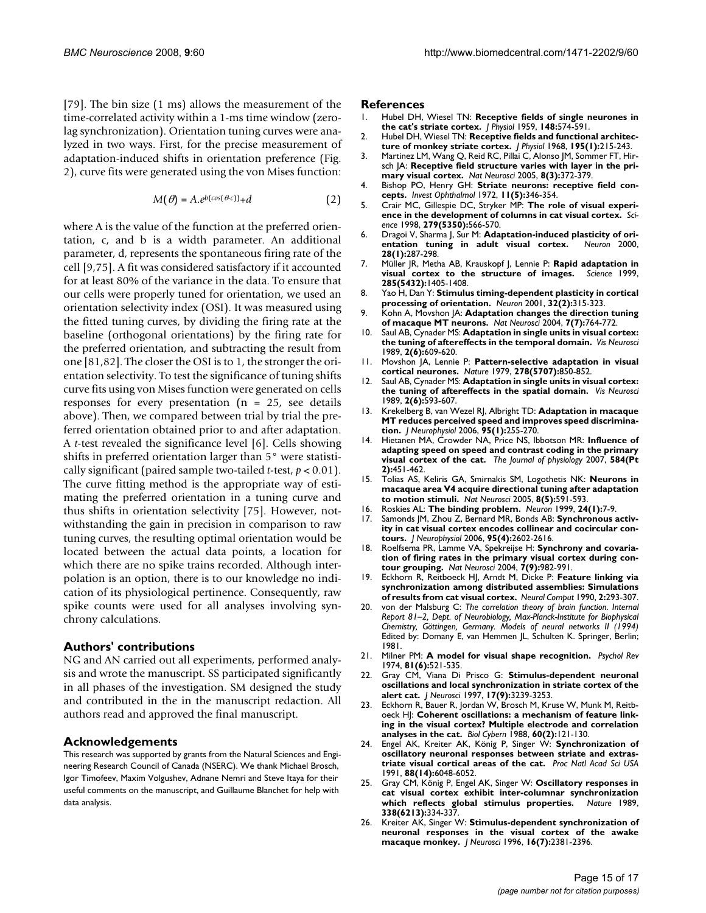[79]. The bin size (1 ms) allows the measurement of the time-correlated activity within a 1-ms time window (zerolag synchronization). Orientation tuning curves were analyzed in two ways. First, for the precise measurement of adaptation-induced shifts in orientation preference (Fig. 2), curve fits were generated using the von Mises function:

$$
M(\theta) = A.e^{b(cos(\theta c))} + d \tag{2}
$$

where A is the value of the function at the preferred orientation, c, and b is a width parameter. An additional parameter, d, represents the spontaneous firing rate of the cell [9,75]. A fit was considered satisfactory if it accounted for at least 80% of the variance in the data. To ensure that our cells were properly tuned for orientation, we used an orientation selectivity index (OSI). It was measured using the fitted tuning curves, by dividing the firing rate at the baseline (orthogonal orientations) by the firing rate for the preferred orientation, and subtracting the result from one [81,82]. The closer the OSI is to 1, the stronger the orientation selectivity. To test the significance of tuning shifts curve fits using von Mises function were generated on cells responses for every presentation ( $n = 25$ , see details above). Then, we compared between trial by trial the preferred orientation obtained prior to and after adaptation. A *t*-test revealed the significance level [6]. Cells showing shifts in preferred orientation larger than 5° were statistically significant (paired sample two-tailed *t*-test, *p* < 0.01). The curve fitting method is the appropriate way of estimating the preferred orientation in a tuning curve and thus shifts in orientation selectivity [75]. However, notwithstanding the gain in precision in comparison to raw tuning curves, the resulting optimal orientation would be located between the actual data points, a location for which there are no spike trains recorded. Although interpolation is an option, there is to our knowledge no indication of its physiological pertinence. Consequently, raw spike counts were used for all analyses involving synchrony calculations.

#### **Authors' contributions**

NG and AN carried out all experiments, performed analysis and wrote the manuscript. SS participated significantly in all phases of the investigation. SM designed the study and contributed in the in the manuscript redaction. All authors read and approved the final manuscript.

#### **Acknowledgements**

This research was supported by grants from the Natural Sciences and Engineering Research Council of Canada (NSERC). We thank Michael Brosch, Igor Timofeev, Maxim Volgushev, Adnane Nemri and Steve Itaya for their useful comments on the manuscript, and Guillaume Blanchet for help with data analysis.

#### **References**

- 1. Hubel DH, Wiesel TN: **[Receptive fields of single neurones in](http://www.ncbi.nlm.nih.gov/entrez/query.fcgi?cmd=Retrieve&db=PubMed&dopt=Abstract&list_uids=14403679) [the cat's striate cortex.](http://www.ncbi.nlm.nih.gov/entrez/query.fcgi?cmd=Retrieve&db=PubMed&dopt=Abstract&list_uids=14403679)** *J Physiol* 1959, **148:**574-591.
- 2. Hubel DH, Wiesel TN: **[Receptive fields and functional architec](http://www.ncbi.nlm.nih.gov/entrez/query.fcgi?cmd=Retrieve&db=PubMed&dopt=Abstract&list_uids=4966457)[ture of monkey striate cortex.](http://www.ncbi.nlm.nih.gov/entrez/query.fcgi?cmd=Retrieve&db=PubMed&dopt=Abstract&list_uids=4966457)** *J Physiol* 1968, **195(1):**215-243.
- 3. Martinez LM, Wang Q, Reid RC, Pillai C, Alonso JM, Sommer FT, Hirsch JA: **[Receptive field structure varies with layer in the pri](http://www.ncbi.nlm.nih.gov/entrez/query.fcgi?cmd=Retrieve&db=PubMed&dopt=Abstract&list_uids=15711543)[mary visual cortex.](http://www.ncbi.nlm.nih.gov/entrez/query.fcgi?cmd=Retrieve&db=PubMed&dopt=Abstract&list_uids=15711543)** *Nat Neurosci* 2005, **8(3):**372-379.
- 4. Bishop PO, Henry GH: **[Striate neurons: receptive field con](http://www.ncbi.nlm.nih.gov/entrez/query.fcgi?cmd=Retrieve&db=PubMed&dopt=Abstract&list_uids=5028231)[cepts.](http://www.ncbi.nlm.nih.gov/entrez/query.fcgi?cmd=Retrieve&db=PubMed&dopt=Abstract&list_uids=5028231)** *Invest Ophthalmol* 1972, **11(5):**346-354.
- 5. Crair MC, Gillespie DC, Stryker MP: **[The role of visual experi](http://www.ncbi.nlm.nih.gov/entrez/query.fcgi?cmd=Retrieve&db=PubMed&dopt=Abstract&list_uids=9438851)[ence in the development of columns in cat visual cortex.](http://www.ncbi.nlm.nih.gov/entrez/query.fcgi?cmd=Retrieve&db=PubMed&dopt=Abstract&list_uids=9438851)** *Science* 1998, **279(5350):**566-570.
- 6. Dragoi V, Sharma J, Sur M: **[Adaptation-induced plasticity of ori](http://www.ncbi.nlm.nih.gov/entrez/query.fcgi?cmd=Retrieve&db=PubMed&dopt=Abstract&list_uids=11087001)[entation tuning in adult visual cortex.](http://www.ncbi.nlm.nih.gov/entrez/query.fcgi?cmd=Retrieve&db=PubMed&dopt=Abstract&list_uids=11087001)** *Neuron* 2000, **28(1):**287-298.
- 7. Müller JR, Metha AB, Krauskopf J, Lennie P: **[Rapid adaptation in](http://www.ncbi.nlm.nih.gov/entrez/query.fcgi?cmd=Retrieve&db=PubMed&dopt=Abstract&list_uids=10464100) [visual cortex to the structure of images.](http://www.ncbi.nlm.nih.gov/entrez/query.fcgi?cmd=Retrieve&db=PubMed&dopt=Abstract&list_uids=10464100)** *Science* 1999, **285(5432):**1405-1408.
- 8. Yao H, Dan Y: **[Stimulus timing-dependent plasticity in cortical](http://www.ncbi.nlm.nih.gov/entrez/query.fcgi?cmd=Retrieve&db=PubMed&dopt=Abstract&list_uids=11684000) [processing of orientation.](http://www.ncbi.nlm.nih.gov/entrez/query.fcgi?cmd=Retrieve&db=PubMed&dopt=Abstract&list_uids=11684000)** *Neuron* 2001, **32(2):**315-323.
- 9. Kohn A, Movshon JA: **[Adaptation changes the direction tuning](http://www.ncbi.nlm.nih.gov/entrez/query.fcgi?cmd=Retrieve&db=PubMed&dopt=Abstract&list_uids=15195097) [of macaque MT neurons.](http://www.ncbi.nlm.nih.gov/entrez/query.fcgi?cmd=Retrieve&db=PubMed&dopt=Abstract&list_uids=15195097)** *Nat Neurosci* 2004, **7(7):**764-772.
- 10. Saul AB, Cynader MS: **[Adaptation in single units in visual cortex:](http://www.ncbi.nlm.nih.gov/entrez/query.fcgi?cmd=Retrieve&db=PubMed&dopt=Abstract&list_uids=2487087) [the tuning of aftereffects in the temporal domain.](http://www.ncbi.nlm.nih.gov/entrez/query.fcgi?cmd=Retrieve&db=PubMed&dopt=Abstract&list_uids=2487087)** *Vis Neurosci* 1989, **2(6):**609-620.
- 11. Movshon JA, Lennie P: **[Pattern-selective adaptation in visual](http://www.ncbi.nlm.nih.gov/entrez/query.fcgi?cmd=Retrieve&db=PubMed&dopt=Abstract&list_uids=440411) [cortical neurones.](http://www.ncbi.nlm.nih.gov/entrez/query.fcgi?cmd=Retrieve&db=PubMed&dopt=Abstract&list_uids=440411)** *Nature* 1979, **278(5707):**850-852.
- 12. Saul AB, Cynader MS: **[Adaptation in single units in visual cortex:](http://www.ncbi.nlm.nih.gov/entrez/query.fcgi?cmd=Retrieve&db=PubMed&dopt=Abstract&list_uids=2487086) [the tuning of aftereffects in the spatial domain.](http://www.ncbi.nlm.nih.gov/entrez/query.fcgi?cmd=Retrieve&db=PubMed&dopt=Abstract&list_uids=2487086)** *Vis Neurosci* 1989, **2(6):**593-607.
- 13. Krekelberg B, van Wezel RJ, Albright TD: **[Adaptation in macaque](http://www.ncbi.nlm.nih.gov/entrez/query.fcgi?cmd=Retrieve&db=PubMed&dopt=Abstract&list_uids=16192331) [MT reduces perceived speed and improves speed discrimina](http://www.ncbi.nlm.nih.gov/entrez/query.fcgi?cmd=Retrieve&db=PubMed&dopt=Abstract&list_uids=16192331)[tion.](http://www.ncbi.nlm.nih.gov/entrez/query.fcgi?cmd=Retrieve&db=PubMed&dopt=Abstract&list_uids=16192331)** *J Neurophysiol* 2006, **95(1):**255-270.
- 14. Hietanen MA, Crowder NA, Price NS, Ibbotson MR: **[Influence of](http://www.ncbi.nlm.nih.gov/entrez/query.fcgi?cmd=Retrieve&db=PubMed&dopt=Abstract&list_uids=17702823) [adapting speed on speed and contrast coding in the primary](http://www.ncbi.nlm.nih.gov/entrez/query.fcgi?cmd=Retrieve&db=PubMed&dopt=Abstract&list_uids=17702823) [visual cortex of the cat.](http://www.ncbi.nlm.nih.gov/entrez/query.fcgi?cmd=Retrieve&db=PubMed&dopt=Abstract&list_uids=17702823)** *The Journal of physiology* 2007, **584(Pt 2):**451-462.
- 15. Tolias AS, Keliris GA, Smirnakis SM, Logothetis NK: **[Neurons in](http://www.ncbi.nlm.nih.gov/entrez/query.fcgi?cmd=Retrieve&db=PubMed&dopt=Abstract&list_uids=15834417) [macaque area V4 acquire directional tuning after adaptation](http://www.ncbi.nlm.nih.gov/entrez/query.fcgi?cmd=Retrieve&db=PubMed&dopt=Abstract&list_uids=15834417) [to motion stimuli.](http://www.ncbi.nlm.nih.gov/entrez/query.fcgi?cmd=Retrieve&db=PubMed&dopt=Abstract&list_uids=15834417)** *Nat Neurosci* 2005, **8(5):**591-593.
- 16. Roskies AL: **[The binding problem.](http://www.ncbi.nlm.nih.gov/entrez/query.fcgi?cmd=Retrieve&db=PubMed&dopt=Abstract&list_uids=10677022)** *Neuron* 1999, **24(1):**7-9.
- 17. Samonds JM, Zhou Z, Bernard MR, Bonds AB: **[Synchronous activ](http://www.ncbi.nlm.nih.gov/entrez/query.fcgi?cmd=Retrieve&db=PubMed&dopt=Abstract&list_uids=16354730)[ity in cat visual cortex encodes collinear and cocircular con](http://www.ncbi.nlm.nih.gov/entrez/query.fcgi?cmd=Retrieve&db=PubMed&dopt=Abstract&list_uids=16354730)[tours.](http://www.ncbi.nlm.nih.gov/entrez/query.fcgi?cmd=Retrieve&db=PubMed&dopt=Abstract&list_uids=16354730)** *J Neurophysiol* 2006, **95(4):**2602-2616.
- 18. Roelfsema PR, Lamme VA, Spekreijse H: **[Synchrony and covaria](http://www.ncbi.nlm.nih.gov/entrez/query.fcgi?cmd=Retrieve&db=PubMed&dopt=Abstract&list_uids=15322549)[tion of firing rates in the primary visual cortex during con](http://www.ncbi.nlm.nih.gov/entrez/query.fcgi?cmd=Retrieve&db=PubMed&dopt=Abstract&list_uids=15322549)[tour grouping.](http://www.ncbi.nlm.nih.gov/entrez/query.fcgi?cmd=Retrieve&db=PubMed&dopt=Abstract&list_uids=15322549)** *Nat Neurosci* 2004, **7(9):**982-991.
- 19. Eckhorn R, Reitboeck HJ, Arndt M, Dicke P: **Feature linking via synchronization among distributed assemblies: Simulations of results from cat visual cortex.** *Neural Comput* 1990, **2:**293-307.
- 20. von der Malsburg C: *The correlation theory of brain function. Internal Report 81–2, Dept. of Neurobiology, Max-Planck-Institute for Biophysical Chemistry, Göttingen, Germany. Models of neural networks II (1994)* Edited by: Domany E, van Hemmen JL, Schulten K. Springer, Berlin; 1981.
- 21. Milner PM: **[A model for visual shape recognition.](http://www.ncbi.nlm.nih.gov/entrez/query.fcgi?cmd=Retrieve&db=PubMed&dopt=Abstract&list_uids=4445414)** *Psychol Rev* 1974, **81(6):**521-535.
- 22. Gray CM, Viana Di Prisco G: **[Stimulus-dependent neuronal](http://www.ncbi.nlm.nih.gov/entrez/query.fcgi?cmd=Retrieve&db=PubMed&dopt=Abstract&list_uids=9096157) [oscillations and local synchronization in striate cortex of the](http://www.ncbi.nlm.nih.gov/entrez/query.fcgi?cmd=Retrieve&db=PubMed&dopt=Abstract&list_uids=9096157) [alert cat.](http://www.ncbi.nlm.nih.gov/entrez/query.fcgi?cmd=Retrieve&db=PubMed&dopt=Abstract&list_uids=9096157)** *J Neurosci* 1997, **17(9):**3239-3253.
- 23. Eckhorn R, Bauer R, Jordan W, Brosch M, Kruse W, Munk M, Reitboeck HJ: **[Coherent oscillations: a mechanism of feature link](http://www.ncbi.nlm.nih.gov/entrez/query.fcgi?cmd=Retrieve&db=PubMed&dopt=Abstract&list_uids=3228555)[ing in the visual cortex? Multiple electrode and correlation](http://www.ncbi.nlm.nih.gov/entrez/query.fcgi?cmd=Retrieve&db=PubMed&dopt=Abstract&list_uids=3228555) [analyses in the cat.](http://www.ncbi.nlm.nih.gov/entrez/query.fcgi?cmd=Retrieve&db=PubMed&dopt=Abstract&list_uids=3228555)** *Biol Cybern* 1988, **60(2):**121-130.
- 24. Engel AK, Kreiter AK, König P, Singer W: **[Synchronization of](http://www.ncbi.nlm.nih.gov/entrez/query.fcgi?cmd=Retrieve&db=PubMed&dopt=Abstract&list_uids=2068083) [oscillatory neuronal responses between striate and extras](http://www.ncbi.nlm.nih.gov/entrez/query.fcgi?cmd=Retrieve&db=PubMed&dopt=Abstract&list_uids=2068083)[triate visual cortical areas of the cat.](http://www.ncbi.nlm.nih.gov/entrez/query.fcgi?cmd=Retrieve&db=PubMed&dopt=Abstract&list_uids=2068083)** *Proc Natl Acad Sci USA* 1991, **88(14):**6048-6052.
- 25. Gray CM, König P, Engel AK, Singer W: **[Oscillatory responses in](http://www.ncbi.nlm.nih.gov/entrez/query.fcgi?cmd=Retrieve&db=PubMed&dopt=Abstract&list_uids=2922061) [cat visual cortex exhibit inter-columnar synchronization](http://www.ncbi.nlm.nih.gov/entrez/query.fcgi?cmd=Retrieve&db=PubMed&dopt=Abstract&list_uids=2922061)** [which reflects global stimulus properties.](http://www.ncbi.nlm.nih.gov/entrez/query.fcgi?cmd=Retrieve&db=PubMed&dopt=Abstract&list_uids=2922061) **338(6213):**334-337.
- 26. Kreiter AK, Singer W: **[Stimulus-dependent synchronization of](http://www.ncbi.nlm.nih.gov/entrez/query.fcgi?cmd=Retrieve&db=PubMed&dopt=Abstract&list_uids=8601818) [neuronal responses in the visual cortex of the awake](http://www.ncbi.nlm.nih.gov/entrez/query.fcgi?cmd=Retrieve&db=PubMed&dopt=Abstract&list_uids=8601818) [macaque monkey.](http://www.ncbi.nlm.nih.gov/entrez/query.fcgi?cmd=Retrieve&db=PubMed&dopt=Abstract&list_uids=8601818)** *J Neurosci* 1996, **16(7):**2381-2396.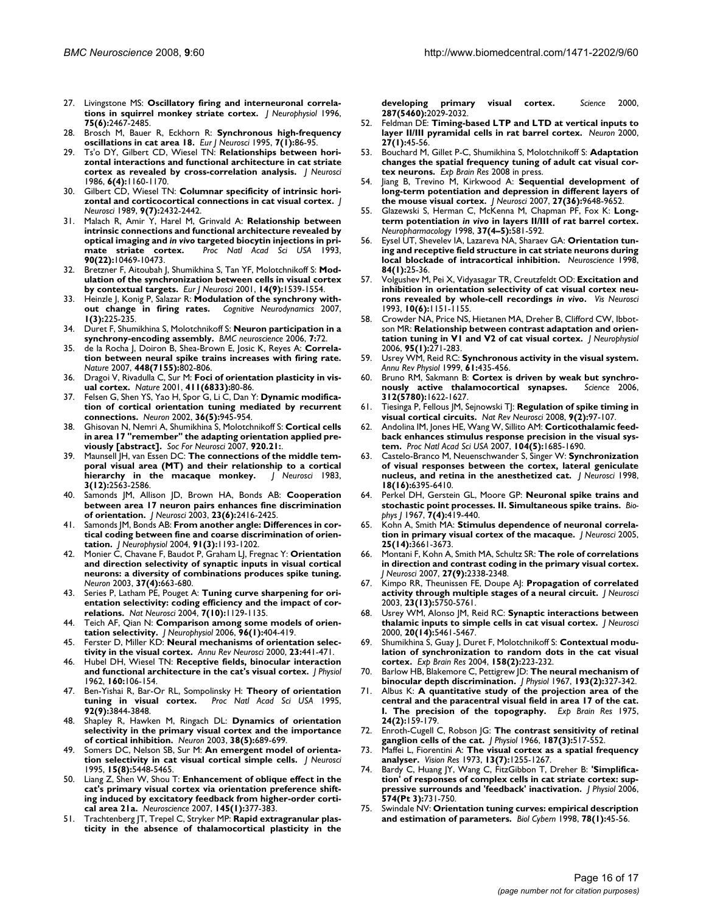- 27. Livingstone MS: **[Oscillatory firing and interneuronal correla](http://www.ncbi.nlm.nih.gov/entrez/query.fcgi?cmd=Retrieve&db=PubMed&dopt=Abstract&list_uids=8793757)[tions in squirrel monkey striate cortex.](http://www.ncbi.nlm.nih.gov/entrez/query.fcgi?cmd=Retrieve&db=PubMed&dopt=Abstract&list_uids=8793757)** *J Neurophysiol* 1996, **75(6):**2467-2485.
- 28. Brosch M, Bauer R, Eckhorn R: **[Synchronous high-frequency](http://www.ncbi.nlm.nih.gov/entrez/query.fcgi?cmd=Retrieve&db=PubMed&dopt=Abstract&list_uids=7711940) [oscillations in cat area 18.](http://www.ncbi.nlm.nih.gov/entrez/query.fcgi?cmd=Retrieve&db=PubMed&dopt=Abstract&list_uids=7711940)** *Eur J Neurosci* 1995, **7(1):**86-95.
- 29. Ts'o DY, Gilbert CD, Wiesel TN: **[Relationships between hori](http://www.ncbi.nlm.nih.gov/entrez/query.fcgi?cmd=Retrieve&db=PubMed&dopt=Abstract&list_uids=3701413)[zontal interactions and functional architecture in cat striate](http://www.ncbi.nlm.nih.gov/entrez/query.fcgi?cmd=Retrieve&db=PubMed&dopt=Abstract&list_uids=3701413) [cortex as revealed by cross-correlation analysis.](http://www.ncbi.nlm.nih.gov/entrez/query.fcgi?cmd=Retrieve&db=PubMed&dopt=Abstract&list_uids=3701413)** *J Neurosci* 1986, **6(4):**1160-1170.
- 30. Gilbert CD, Wiesel TN: **[Columnar specificity of intrinsic hori](http://www.ncbi.nlm.nih.gov/entrez/query.fcgi?cmd=Retrieve&db=PubMed&dopt=Abstract&list_uids=2746337)[zontal and corticocortical connections in cat visual cortex.](http://www.ncbi.nlm.nih.gov/entrez/query.fcgi?cmd=Retrieve&db=PubMed&dopt=Abstract&list_uids=2746337)** *J Neurosci* 1989, **9(7):**2432-2442.
- 31. Malach R, Amir Y, Harel M, Grinvald A: **Relationship between intrinsic connections and functional architecture revealed by optical imaging and** *in vivo* **[targeted biocytin injections in pri](http://www.ncbi.nlm.nih.gov/entrez/query.fcgi?cmd=Retrieve&db=PubMed&dopt=Abstract&list_uids=8248133)[mate striate cortex.](http://www.ncbi.nlm.nih.gov/entrez/query.fcgi?cmd=Retrieve&db=PubMed&dopt=Abstract&list_uids=8248133)** *Proc Natl Acad Sci USA* 1993, **90(22):**10469-10473.
- 32. Bretzner F, Aitoubah J, Shumikhina S, Tan YF, Molotchnikoff S: **[Mod](http://www.ncbi.nlm.nih.gov/entrez/query.fcgi?cmd=Retrieve&db=PubMed&dopt=Abstract&list_uids=11722616)[ulation of the synchronization between cells in visual cortex](http://www.ncbi.nlm.nih.gov/entrez/query.fcgi?cmd=Retrieve&db=PubMed&dopt=Abstract&list_uids=11722616) [by contextual targets.](http://www.ncbi.nlm.nih.gov/entrez/query.fcgi?cmd=Retrieve&db=PubMed&dopt=Abstract&list_uids=11722616)** *Eur J Neurosci* 2001, **14(9):**1539-1554.
- 33. Heinzle J, Konig P, Salazar R: **Modulation of the synchrony without change in firing rates.** *Cognitive Neurodynamics* 2007, **1(3):**225-235.
- 34. Duret F, Shumikhina S, Molotchnikoff S: **[Neuron participation in a](http://www.ncbi.nlm.nih.gov/entrez/query.fcgi?cmd=Retrieve&db=PubMed&dopt=Abstract&list_uids=17069653) [synchrony-encoding assembly.](http://www.ncbi.nlm.nih.gov/entrez/query.fcgi?cmd=Retrieve&db=PubMed&dopt=Abstract&list_uids=17069653)** *BMC neuroscience* 2006, **7:**72.
- 35. de la Rocha J, Doiron B, Shea-Brown E, Josic K, Reyes A: **[Correla](http://www.ncbi.nlm.nih.gov/entrez/query.fcgi?cmd=Retrieve&db=PubMed&dopt=Abstract&list_uids=17700699)[tion between neural spike trains increases with firing rate.](http://www.ncbi.nlm.nih.gov/entrez/query.fcgi?cmd=Retrieve&db=PubMed&dopt=Abstract&list_uids=17700699)** *Nature* 2007, **448(7155):**802-806.
- 36. Dragoi V, Rivadulla C, Sur M: **[Foci of orientation plasticity in vis](http://www.ncbi.nlm.nih.gov/entrez/query.fcgi?cmd=Retrieve&db=PubMed&dopt=Abstract&list_uids=11333981)[ual cortex.](http://www.ncbi.nlm.nih.gov/entrez/query.fcgi?cmd=Retrieve&db=PubMed&dopt=Abstract&list_uids=11333981)** *Nature* 2001, **411(6833):**80-86.
- 37. Felsen G, Shen YS, Yao H, Spor G, Li C, Dan Y: **[Dynamic modifica](http://www.ncbi.nlm.nih.gov/entrez/query.fcgi?cmd=Retrieve&db=PubMed&dopt=Abstract&list_uids=12467597)[tion of cortical orientation tuning mediated by recurrent](http://www.ncbi.nlm.nih.gov/entrez/query.fcgi?cmd=Retrieve&db=PubMed&dopt=Abstract&list_uids=12467597) [connections.](http://www.ncbi.nlm.nih.gov/entrez/query.fcgi?cmd=Retrieve&db=PubMed&dopt=Abstract&list_uids=12467597)** *Neuron* 2002, **36(5):**945-954.
- 38. Ghisovan N, Nemri A, Shumikhina S, Molotchnikoff S: **Cortical cells in area 17 "remember" the adapting orientation applied previously [abstract].** *Soc For Neurosci* 2007, **920.21:**.
- 39. Maunsell JH, van Essen DC: **[The connections of the middle tem](http://www.ncbi.nlm.nih.gov/entrez/query.fcgi?cmd=Retrieve&db=PubMed&dopt=Abstract&list_uids=6655500)[poral visual area \(MT\) and their relationship to a cortical](http://www.ncbi.nlm.nih.gov/entrez/query.fcgi?cmd=Retrieve&db=PubMed&dopt=Abstract&list_uids=6655500) [hierarchy in the macaque monkey.](http://www.ncbi.nlm.nih.gov/entrez/query.fcgi?cmd=Retrieve&db=PubMed&dopt=Abstract&list_uids=6655500)** *J Neurosci* 1983, **3(12):**2563-2586.
- 40. Samonds JM, Allison JD, Brown HA, Bonds AB: **[Cooperation](http://www.ncbi.nlm.nih.gov/entrez/query.fcgi?cmd=Retrieve&db=PubMed&dopt=Abstract&list_uids=12657701) [between area 17 neuron pairs enhances fine discrimination](http://www.ncbi.nlm.nih.gov/entrez/query.fcgi?cmd=Retrieve&db=PubMed&dopt=Abstract&list_uids=12657701) [of orientation.](http://www.ncbi.nlm.nih.gov/entrez/query.fcgi?cmd=Retrieve&db=PubMed&dopt=Abstract&list_uids=12657701)** *J Neurosci* 2003, **23(6):**2416-2425.
- 41. Samonds JM, Bonds AB: **[From another angle: Differences in cor](http://www.ncbi.nlm.nih.gov/entrez/query.fcgi?cmd=Retrieve&db=PubMed&dopt=Abstract&list_uids=14614106)[tical coding between fine and coarse discrimination of orien](http://www.ncbi.nlm.nih.gov/entrez/query.fcgi?cmd=Retrieve&db=PubMed&dopt=Abstract&list_uids=14614106)[tation.](http://www.ncbi.nlm.nih.gov/entrez/query.fcgi?cmd=Retrieve&db=PubMed&dopt=Abstract&list_uids=14614106)** *J Neurophysiol* 2004, **91(3):**1193-1202.
- 42. Monier C, Chavane F, Baudot P, Graham LJ, Fregnac Y: **[Orientation](http://www.ncbi.nlm.nih.gov/entrez/query.fcgi?cmd=Retrieve&db=PubMed&dopt=Abstract&list_uids=12597863) [and direction selectivity of synaptic inputs in visual cortical](http://www.ncbi.nlm.nih.gov/entrez/query.fcgi?cmd=Retrieve&db=PubMed&dopt=Abstract&list_uids=12597863) neurons: a diversity of combinations produces spike tuning.** *Neuron* 2003, **37(4):**663-680.
- 43. Series P, Latham PE, Pouget A: **[Tuning curve sharpening for ori](http://www.ncbi.nlm.nih.gov/entrez/query.fcgi?cmd=Retrieve&db=PubMed&dopt=Abstract&list_uids=15452579)[entation selectivity: coding efficiency and the impact of cor](http://www.ncbi.nlm.nih.gov/entrez/query.fcgi?cmd=Retrieve&db=PubMed&dopt=Abstract&list_uids=15452579)[relations.](http://www.ncbi.nlm.nih.gov/entrez/query.fcgi?cmd=Retrieve&db=PubMed&dopt=Abstract&list_uids=15452579)** *Nat Neurosci* 2004, **7(10):**1129-1135.
- 44. Teich AF, Qian N: **[Comparison among some models of orien](http://www.ncbi.nlm.nih.gov/entrez/query.fcgi?cmd=Retrieve&db=PubMed&dopt=Abstract&list_uids=16625000)[tation selectivity.](http://www.ncbi.nlm.nih.gov/entrez/query.fcgi?cmd=Retrieve&db=PubMed&dopt=Abstract&list_uids=16625000)** *J Neurophysiol* 2006, **96(1):**404-419.
- 45. Ferster D, Miller KD: **[Neural mechanisms of orientation selec](http://www.ncbi.nlm.nih.gov/entrez/query.fcgi?cmd=Retrieve&db=PubMed&dopt=Abstract&list_uids=10845071)[tivity in the visual cortex.](http://www.ncbi.nlm.nih.gov/entrez/query.fcgi?cmd=Retrieve&db=PubMed&dopt=Abstract&list_uids=10845071)** *Annu Rev Neurosci* 2000, **23:**441-471.
- 46. Hubel DH, Wiesel TN: **[Receptive fields, binocular interaction](http://www.ncbi.nlm.nih.gov/entrez/query.fcgi?cmd=Retrieve&db=PubMed&dopt=Abstract&list_uids=14449617) [and functional architecture in the cat's visual cortex.](http://www.ncbi.nlm.nih.gov/entrez/query.fcgi?cmd=Retrieve&db=PubMed&dopt=Abstract&list_uids=14449617)** *J Physiol* 1962, **160:**106-154.
- 47. Ben-Yishai R, Bar-Or RL, Sompolinsky H: **[Theory of orientation](http://www.ncbi.nlm.nih.gov/entrez/query.fcgi?cmd=Retrieve&db=PubMed&dopt=Abstract&list_uids=7731993) [tuning in visual cortex.](http://www.ncbi.nlm.nih.gov/entrez/query.fcgi?cmd=Retrieve&db=PubMed&dopt=Abstract&list_uids=7731993)** *Proc Natl Acad Sci USA* 1995, **92(9):**3844-3848.
- 48. Shapley R, Hawken M, Ringach DL: **[Dynamics of orientation](http://www.ncbi.nlm.nih.gov/entrez/query.fcgi?cmd=Retrieve&db=PubMed&dopt=Abstract&list_uids=12797955) [selectivity in the primary visual cortex and the importance](http://www.ncbi.nlm.nih.gov/entrez/query.fcgi?cmd=Retrieve&db=PubMed&dopt=Abstract&list_uids=12797955) [of cortical inhibition.](http://www.ncbi.nlm.nih.gov/entrez/query.fcgi?cmd=Retrieve&db=PubMed&dopt=Abstract&list_uids=12797955)** *Neuron* 2003, **38(5):**689-699.
- 49. Somers DC, Nelson SB, Sur M: **[An emergent model of orienta](http://www.ncbi.nlm.nih.gov/entrez/query.fcgi?cmd=Retrieve&db=PubMed&dopt=Abstract&list_uids=7643194)[tion selectivity in cat visual cortical simple cells.](http://www.ncbi.nlm.nih.gov/entrez/query.fcgi?cmd=Retrieve&db=PubMed&dopt=Abstract&list_uids=7643194)** *J Neurosci* 1995, **15(8):**5448-5465.
- 50. Liang Z, Shen W, Shou T: **[Enhancement of oblique effect in the](http://www.ncbi.nlm.nih.gov/entrez/query.fcgi?cmd=Retrieve&db=PubMed&dopt=Abstract&list_uids=17223276) [cat's primary visual cortex via orientation preference shift](http://www.ncbi.nlm.nih.gov/entrez/query.fcgi?cmd=Retrieve&db=PubMed&dopt=Abstract&list_uids=17223276)ing induced by excitatory feedback from higher-order corti[cal area 21a.](http://www.ncbi.nlm.nih.gov/entrez/query.fcgi?cmd=Retrieve&db=PubMed&dopt=Abstract&list_uids=17223276)** *Neuroscience* 2007, **145(1):**377-383.
- 51. Trachtenberg JT, Trepel C, Stryker MP: **[Rapid extragranular plas](http://www.ncbi.nlm.nih.gov/entrez/query.fcgi?cmd=Retrieve&db=PubMed&dopt=Abstract&list_uids=10720332)[ticity in the absence of thalamocortical plasticity in the](http://www.ncbi.nlm.nih.gov/entrez/query.fcgi?cmd=Retrieve&db=PubMed&dopt=Abstract&list_uids=10720332)**

**[developing primary visual cortex.](http://www.ncbi.nlm.nih.gov/entrez/query.fcgi?cmd=Retrieve&db=PubMed&dopt=Abstract&list_uids=10720332)** *Science* 2000, **287(5460):**2029-2032.

- 52. Feldman DE: **[Timing-based LTP and LTD at vertical inputs to](http://www.ncbi.nlm.nih.gov/entrez/query.fcgi?cmd=Retrieve&db=PubMed&dopt=Abstract&list_uids=10939330) [layer II/III pyramidal cells in rat barrel cortex.](http://www.ncbi.nlm.nih.gov/entrez/query.fcgi?cmd=Retrieve&db=PubMed&dopt=Abstract&list_uids=10939330)** *Neuron* 2000, **27(1):**45-56.
- 53. Bouchard M, Gillet P-C, Shumikhina S, Molotchnikoff S: **[Adaptation](http://www.ncbi.nlm.nih.gov/entrez/query.fcgi?cmd=Retrieve&db=PubMed&dopt=Abstract&list_uids=18496681) [changes the spatial frequency tuning of adult cat visual cor](http://www.ncbi.nlm.nih.gov/entrez/query.fcgi?cmd=Retrieve&db=PubMed&dopt=Abstract&list_uids=18496681)[tex neurons.](http://www.ncbi.nlm.nih.gov/entrez/query.fcgi?cmd=Retrieve&db=PubMed&dopt=Abstract&list_uids=18496681)** *Exp Brain Res* 2008 in press.
- 54. Jiang B, Trevino M, Kirkwood A: **[Sequential development of](http://www.ncbi.nlm.nih.gov/entrez/query.fcgi?cmd=Retrieve&db=PubMed&dopt=Abstract&list_uids=17804625) [long-term potentiation and depression in different layers of](http://www.ncbi.nlm.nih.gov/entrez/query.fcgi?cmd=Retrieve&db=PubMed&dopt=Abstract&list_uids=17804625) [the mouse visual cortex.](http://www.ncbi.nlm.nih.gov/entrez/query.fcgi?cmd=Retrieve&db=PubMed&dopt=Abstract&list_uids=17804625)** *J Neurosci* 2007, **27(36):**9648-9652.
- 55. Glazewski S, Herman C, McKenna M, Chapman PF, Fox K: **Longterm potentiation** *in vivo* **[in layers II/III of rat barrel cortex.](http://www.ncbi.nlm.nih.gov/entrez/query.fcgi?cmd=Retrieve&db=PubMed&dopt=Abstract&list_uids=9704999)** *Neuropharmacology* 1998, **37(4–5):**581-592.
- 56. Eysel UT, Shevelev IA, Lazareva NA, Sharaev GA: **[Orientation tun](http://www.ncbi.nlm.nih.gov/entrez/query.fcgi?cmd=Retrieve&db=PubMed&dopt=Abstract&list_uids=9522359)[ing and receptive field structure in cat striate neurons during](http://www.ncbi.nlm.nih.gov/entrez/query.fcgi?cmd=Retrieve&db=PubMed&dopt=Abstract&list_uids=9522359) [local blockade of intracortical inhibition.](http://www.ncbi.nlm.nih.gov/entrez/query.fcgi?cmd=Retrieve&db=PubMed&dopt=Abstract&list_uids=9522359)** *Neuroscience* 1998, **84(1):**25-36.
- 57. Volgushev M, Pei X, Vidyasagar TR, Creutzfeldt OD: **Excitation and inhibition in orientation selectivity of cat visual cortex neurons revealed by whole-cell recordings** *in vivo***[.](http://www.ncbi.nlm.nih.gov/entrez/query.fcgi?cmd=Retrieve&db=PubMed&dopt=Abstract&list_uids=8257670)** *Vis Neurosci* 1993, **10(6):**1151-1155.
- 58. Crowder NA, Price NS, Hietanen MA, Dreher B, Clifford CW, Ibbotson MR: **[Relationship between contrast adaptation and orien](http://www.ncbi.nlm.nih.gov/entrez/query.fcgi?cmd=Retrieve&db=PubMed&dopt=Abstract&list_uids=16192327)[tation tuning in V1 and V2 of cat visual cortex.](http://www.ncbi.nlm.nih.gov/entrez/query.fcgi?cmd=Retrieve&db=PubMed&dopt=Abstract&list_uids=16192327)** *J Neurophysiol* 2006, **95(1):**271-283.
- 59. Usrey WM, Reid RC: **[Synchronous activity in the visual system.](http://www.ncbi.nlm.nih.gov/entrez/query.fcgi?cmd=Retrieve&db=PubMed&dopt=Abstract&list_uids=10099696)** *Annu Rev Physiol* 1999, **61:**435-456.
- 60. Bruno RM, Sakmann B: **[Cortex is driven by weak but synchro](http://www.ncbi.nlm.nih.gov/entrez/query.fcgi?cmd=Retrieve&db=PubMed&dopt=Abstract&list_uids=16778049)[nously active thalamocortical synapses.](http://www.ncbi.nlm.nih.gov/entrez/query.fcgi?cmd=Retrieve&db=PubMed&dopt=Abstract&list_uids=16778049)** *Science* 2006, **312(5780):**1622-1627.
- 61. Tiesinga P, Fellous JM, Sejnowski TJ: **[Regulation of spike timing in](http://www.ncbi.nlm.nih.gov/entrez/query.fcgi?cmd=Retrieve&db=PubMed&dopt=Abstract&list_uids=18200026) [visual cortical circuits.](http://www.ncbi.nlm.nih.gov/entrez/query.fcgi?cmd=Retrieve&db=PubMed&dopt=Abstract&list_uids=18200026)** *Nat Rev Neurosci* 2008, **9(2):**97-107.
- 62. Andolina IM, Jones HE, Wang W, Sillito AM: **[Corticothalamic feed](http://www.ncbi.nlm.nih.gov/entrez/query.fcgi?cmd=Retrieve&db=PubMed&dopt=Abstract&list_uids=17237220)[back enhances stimulus response precision in the visual sys](http://www.ncbi.nlm.nih.gov/entrez/query.fcgi?cmd=Retrieve&db=PubMed&dopt=Abstract&list_uids=17237220)[tem.](http://www.ncbi.nlm.nih.gov/entrez/query.fcgi?cmd=Retrieve&db=PubMed&dopt=Abstract&list_uids=17237220)** *Proc Natl Acad Sci USA* 2007, **104(5):**1685-1690.
- 63. Castelo-Branco M, Neuenschwander S, Singer W: **[Synchronization](http://www.ncbi.nlm.nih.gov/entrez/query.fcgi?cmd=Retrieve&db=PubMed&dopt=Abstract&list_uids=9698331) [of visual responses between the cortex, lateral geniculate](http://www.ncbi.nlm.nih.gov/entrez/query.fcgi?cmd=Retrieve&db=PubMed&dopt=Abstract&list_uids=9698331) [nucleus, and retina in the anesthetized cat.](http://www.ncbi.nlm.nih.gov/entrez/query.fcgi?cmd=Retrieve&db=PubMed&dopt=Abstract&list_uids=9698331)** *J Neurosci* 1998, **18(16):**6395-6410.
- 64. Perkel DH, Gerstein GL, Moore GP: **[Neuronal spike trains and](http://www.ncbi.nlm.nih.gov/entrez/query.fcgi?cmd=Retrieve&db=PubMed&dopt=Abstract&list_uids=4292792) [stochastic point processes. II. Simultaneous spike trains.](http://www.ncbi.nlm.nih.gov/entrez/query.fcgi?cmd=Retrieve&db=PubMed&dopt=Abstract&list_uids=4292792)** *Biophys J* 1967, **7(4):**419-440.
- 65. Kohn A, Smith MA: **[Stimulus dependence of neuronal correla](http://www.ncbi.nlm.nih.gov/entrez/query.fcgi?cmd=Retrieve&db=PubMed&dopt=Abstract&list_uids=15814797)[tion in primary visual cortex of the macaque.](http://www.ncbi.nlm.nih.gov/entrez/query.fcgi?cmd=Retrieve&db=PubMed&dopt=Abstract&list_uids=15814797)** *J Neurosci* 2005, **25(14):**3661-3673.
- 66. Montani F, Kohn A, Smith MA, Schultz SR: **[The role of correlations](http://www.ncbi.nlm.nih.gov/entrez/query.fcgi?cmd=Retrieve&db=PubMed&dopt=Abstract&list_uids=17329431) [in direction and contrast coding in the primary visual cortex.](http://www.ncbi.nlm.nih.gov/entrez/query.fcgi?cmd=Retrieve&db=PubMed&dopt=Abstract&list_uids=17329431)** *J Neurosci* 2007, **27(9):**2338-2348.
- 67. Kimpo RR, Theunissen FE, Doupe AJ: **[Propagation of correlated](http://www.ncbi.nlm.nih.gov/entrez/query.fcgi?cmd=Retrieve&db=PubMed&dopt=Abstract&list_uids=12843279) [activity through multiple stages of a neural circuit.](http://www.ncbi.nlm.nih.gov/entrez/query.fcgi?cmd=Retrieve&db=PubMed&dopt=Abstract&list_uids=12843279)** *J Neurosci* 2003, **23(13):**5750-5761.
- Usrey WM, Alonso JM, Reid RC: [Synaptic interactions between](http://www.ncbi.nlm.nih.gov/entrez/query.fcgi?cmd=Retrieve&db=PubMed&dopt=Abstract&list_uids=10884329) **[thalamic inputs to simple cells in cat visual cortex.](http://www.ncbi.nlm.nih.gov/entrez/query.fcgi?cmd=Retrieve&db=PubMed&dopt=Abstract&list_uids=10884329)** *J Neurosci* 2000, **20(14):**5461-5467.
- 69. Shumikhina S, Guay J, Duret F, Molotchnikoff S: **[Contextual modu](http://www.ncbi.nlm.nih.gov/entrez/query.fcgi?cmd=Retrieve&db=PubMed&dopt=Abstract&list_uids=15118794)[lation of synchronization to random dots in the cat visual](http://www.ncbi.nlm.nih.gov/entrez/query.fcgi?cmd=Retrieve&db=PubMed&dopt=Abstract&list_uids=15118794) [cortex.](http://www.ncbi.nlm.nih.gov/entrez/query.fcgi?cmd=Retrieve&db=PubMed&dopt=Abstract&list_uids=15118794)** *Exp Brain Res* 2004, **158(2):**223-232.
- 70. Barlow HB, Blakemore C, Pettigrew JD: **[The neural mechanism of](http://www.ncbi.nlm.nih.gov/entrez/query.fcgi?cmd=Retrieve&db=PubMed&dopt=Abstract&list_uids=6065881) [binocular depth discrimination.](http://www.ncbi.nlm.nih.gov/entrez/query.fcgi?cmd=Retrieve&db=PubMed&dopt=Abstract&list_uids=6065881)** *J Physiol* 1967, **193(2):**327-342.
- 71. Albus K: **[A quantitative study of the projection area of the](http://www.ncbi.nlm.nih.gov/entrez/query.fcgi?cmd=Retrieve&db=PubMed&dopt=Abstract&list_uids=1218549) [central and the paracentral visual field in area 17 of the cat.](http://www.ncbi.nlm.nih.gov/entrez/query.fcgi?cmd=Retrieve&db=PubMed&dopt=Abstract&list_uids=1218549) [I. The precision of the topography.](http://www.ncbi.nlm.nih.gov/entrez/query.fcgi?cmd=Retrieve&db=PubMed&dopt=Abstract&list_uids=1218549)** *Exp Brain Res* 1975, **24(2):**159-179.
- 72. Enroth-Cugell C, Robson JG: **[The contrast sensitivity of retinal](http://www.ncbi.nlm.nih.gov/entrez/query.fcgi?cmd=Retrieve&db=PubMed&dopt=Abstract&list_uids=16783910) [ganglion cells of the cat.](http://www.ncbi.nlm.nih.gov/entrez/query.fcgi?cmd=Retrieve&db=PubMed&dopt=Abstract&list_uids=16783910)** *J Physiol* 1966, **187(3):**517-552.
- 73. Maffei L, Fiorentini A: **[The visual cortex as a spatial frequency](http://www.ncbi.nlm.nih.gov/entrez/query.fcgi?cmd=Retrieve&db=PubMed&dopt=Abstract&list_uids=4722797) [analyser.](http://www.ncbi.nlm.nih.gov/entrez/query.fcgi?cmd=Retrieve&db=PubMed&dopt=Abstract&list_uids=4722797)** *Vision Res* 1973, **13(7):**1255-1267.
- 74. Bardy C, Huang JY, Wang C, FitzGibbon T, Dreher B: **['Simplifica](http://www.ncbi.nlm.nih.gov/entrez/query.fcgi?cmd=Retrieve&db=PubMed&dopt=Abstract&list_uids=16709635)[tion' of responses of complex cells in cat striate cortex: sup](http://www.ncbi.nlm.nih.gov/entrez/query.fcgi?cmd=Retrieve&db=PubMed&dopt=Abstract&list_uids=16709635)[pressive surrounds and 'feedback' inactivation.](http://www.ncbi.nlm.nih.gov/entrez/query.fcgi?cmd=Retrieve&db=PubMed&dopt=Abstract&list_uids=16709635)** *J Physiol* 2006, **574(Pt 3):**731-750.
- 75. Swindale NV: **[Orientation tuning curves: empirical description](http://www.ncbi.nlm.nih.gov/entrez/query.fcgi?cmd=Retrieve&db=PubMed&dopt=Abstract&list_uids=9518026) [and estimation of parameters.](http://www.ncbi.nlm.nih.gov/entrez/query.fcgi?cmd=Retrieve&db=PubMed&dopt=Abstract&list_uids=9518026)** *Biol Cybern* 1998, **78(1):**45-56.